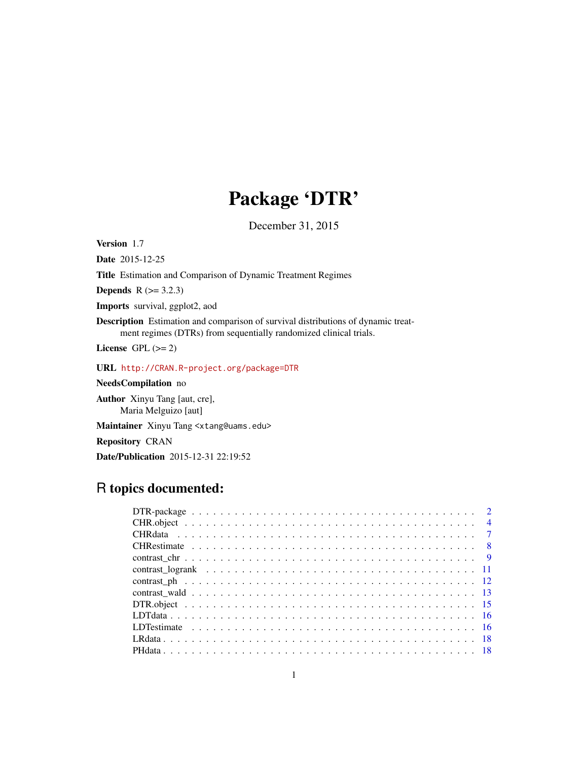# Package 'DTR'

December 31, 2015

<span id="page-0-0"></span>Version 1.7

Date 2015-12-25

Title Estimation and Comparison of Dynamic Treatment Regimes

**Depends** R  $(>= 3.2.3)$ 

Imports survival, ggplot2, aod

Description Estimation and comparison of survival distributions of dynamic treatment regimes (DTRs) from sequentially randomized clinical trials.

License GPL  $(>= 2)$ 

URL <http://CRAN.R-project.org/package=DTR>

NeedsCompilation no

Author Xinyu Tang [aut, cre], Maria Melguizo [aut]

Maintainer Xinyu Tang <xtang@uams.edu>

Repository CRAN

Date/Publication 2015-12-31 22:19:52

# R topics documented: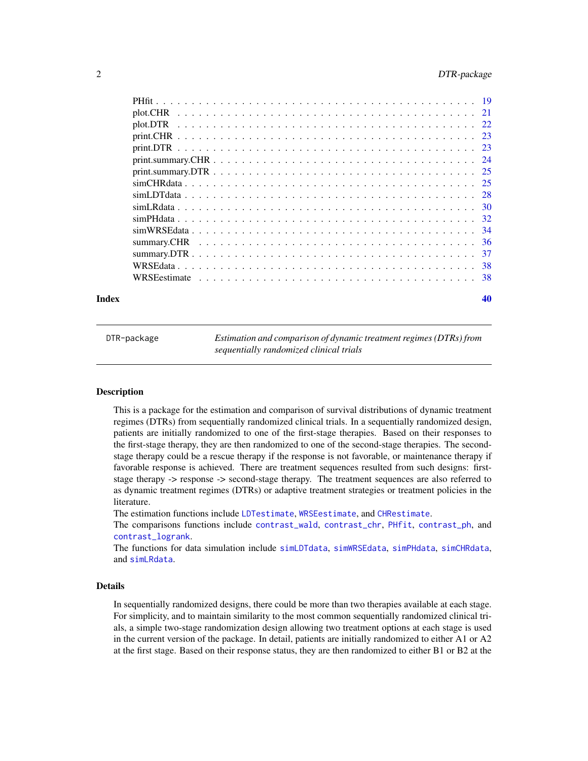<span id="page-1-0"></span>

|  | -36 |
|--|-----|
|  | -37 |
|  |     |
|  |     |
|  |     |

#### $\blacksquare$

DTR-package *Estimation and comparison of dynamic treatment regimes (DTRs) from sequentially randomized clinical trials*

## Description

This is a package for the estimation and comparison of survival distributions of dynamic treatment regimes (DTRs) from sequentially randomized clinical trials. In a sequentially randomized design, patients are initially randomized to one of the first-stage therapies. Based on their responses to the first-stage therapy, they are then randomized to one of the second-stage therapies. The secondstage therapy could be a rescue therapy if the response is not favorable, or maintenance therapy if favorable response is achieved. There are treatment sequences resulted from such designs: firststage therapy -> response -> second-stage therapy. The treatment sequences are also referred to as dynamic treatment regimes (DTRs) or adaptive treatment strategies or treatment policies in the literature.

The estimation functions include [LDTestimate](#page-15-1), [WRSEestimate](#page-37-1), and [CHRestimate](#page-7-1).

The comparisons functions include [contrast\\_wald](#page-12-1), [contrast\\_chr](#page-8-1), [PHfit](#page-18-1), [contrast\\_ph](#page-11-1), and [contrast\\_logrank](#page-10-1).

The functions for data simulation include [simLDTdata](#page-27-1), [simWRSEdata](#page-33-1), [simPHdata](#page-31-1), [simCHRdata](#page-24-1), and [simLRdata](#page-29-1).

## Details

In sequentially randomized designs, there could be more than two therapies available at each stage. For simplicity, and to maintain similarity to the most common sequentially randomized clinical trials, a simple two-stage randomization design allowing two treatment options at each stage is used in the current version of the package. In detail, patients are initially randomized to either A1 or A2 at the first stage. Based on their response status, they are then randomized to either B1 or B2 at the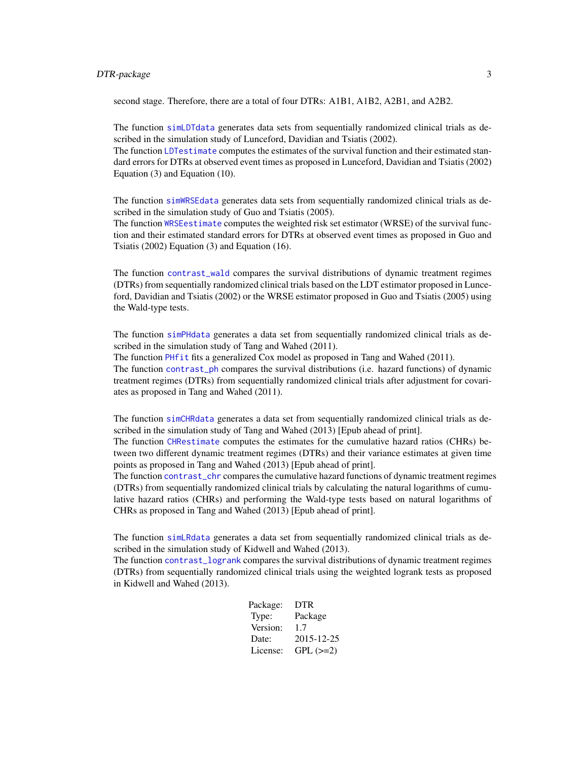## DTR-package 3

second stage. Therefore, there are a total of four DTRs: A1B1, A1B2, A2B1, and A2B2.

The function [simLDTdata](#page-27-1) generates data sets from sequentially randomized clinical trials as described in the simulation study of Lunceford, Davidian and Tsiatis (2002).

The function [LDTestimate](#page-15-1) computes the estimates of the survival function and their estimated standard errors for DTRs at observed event times as proposed in Lunceford, Davidian and Tsiatis (2002) Equation (3) and Equation (10).

The function [simWRSEdata](#page-33-1) generates data sets from sequentially randomized clinical trials as described in the simulation study of Guo and Tsiatis (2005).

The function [WRSEestimate](#page-37-1) computes the weighted risk set estimator (WRSE) of the survival function and their estimated standard errors for DTRs at observed event times as proposed in Guo and Tsiatis (2002) Equation (3) and Equation (16).

The function [contrast\\_wald](#page-12-1) compares the survival distributions of dynamic treatment regimes (DTRs) from sequentially randomized clinical trials based on the LDT estimator proposed in Lunceford, Davidian and Tsiatis (2002) or the WRSE estimator proposed in Guo and Tsiatis (2005) using the Wald-type tests.

The function [simPHdata](#page-31-1) generates a data set from sequentially randomized clinical trials as described in the simulation study of Tang and Wahed (2011). The function [PHfit](#page-18-1) fits a generalized Cox model as proposed in Tang and Wahed (2011). The function [contrast\\_ph](#page-11-1) compares the survival distributions (i.e. hazard functions) of dynamic

treatment regimes (DTRs) from sequentially randomized clinical trials after adjustment for covariates as proposed in Tang and Wahed (2011).

The function [simCHRdata](#page-24-1) generates a data set from sequentially randomized clinical trials as described in the simulation study of Tang and Wahed (2013) [Epub ahead of print].

The function [CHRestimate](#page-7-1) computes the estimates for the cumulative hazard ratios (CHRs) between two different dynamic treatment regimes (DTRs) and their variance estimates at given time points as proposed in Tang and Wahed (2013) [Epub ahead of print].

The function [contrast\\_chr](#page-8-1) compares the cumulative hazard functions of dynamic treatment regimes (DTRs) from sequentially randomized clinical trials by calculating the natural logarithms of cumulative hazard ratios (CHRs) and performing the Wald-type tests based on natural logarithms of CHRs as proposed in Tang and Wahed (2013) [Epub ahead of print].

The function [simLRdata](#page-29-1) generates a data set from sequentially randomized clinical trials as described in the simulation study of Kidwell and Wahed (2013).

The function [contrast\\_logrank](#page-10-1) compares the survival distributions of dynamic treatment regimes (DTRs) from sequentially randomized clinical trials using the weighted logrank tests as proposed in Kidwell and Wahed (2013).

| Package: | <b>DTR</b> |
|----------|------------|
| Type:    | Package    |
| Version: | 1.7        |
| Date:    | 2015-12-25 |
| License: | $GPL (=2)$ |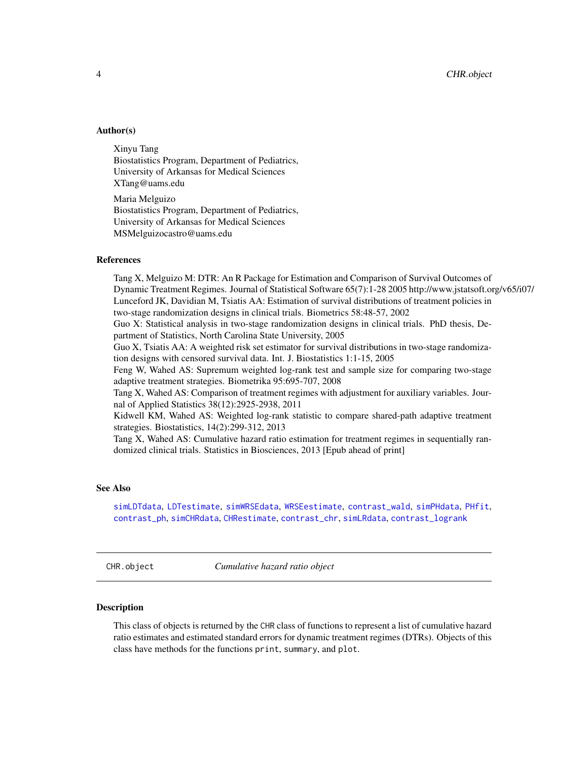#### <span id="page-3-0"></span>Author(s)

Xinyu Tang Biostatistics Program, Department of Pediatrics, University of Arkansas for Medical Sciences XTang@uams.edu

Maria Melguizo Biostatistics Program, Department of Pediatrics, University of Arkansas for Medical Sciences MSMelguizocastro@uams.edu

## References

Tang X, Melguizo M: DTR: An R Package for Estimation and Comparison of Survival Outcomes of Dynamic Treatment Regimes. Journal of Statistical Software 65(7):1-28 2005 http://www.jstatsoft.org/v65/i07/ Lunceford JK, Davidian M, Tsiatis AA: Estimation of survival distributions of treatment policies in two-stage randomization designs in clinical trials. Biometrics 58:48-57, 2002

Guo X: Statistical analysis in two-stage randomization designs in clinical trials. PhD thesis, Department of Statistics, North Carolina State University, 2005

Guo X, Tsiatis AA: A weighted risk set estimator for survival distributions in two-stage randomization designs with censored survival data. Int. J. Biostatistics 1:1-15, 2005

Feng W, Wahed AS: Supremum weighted log-rank test and sample size for comparing two-stage adaptive treatment strategies. Biometrika 95:695-707, 2008

Tang X, Wahed AS: Comparison of treatment regimes with adjustment for auxiliary variables. Journal of Applied Statistics 38(12):2925-2938, 2011

Kidwell KM, Wahed AS: Weighted log-rank statistic to compare shared-path adaptive treatment strategies. Biostatistics, 14(2):299-312, 2013

Tang X, Wahed AS: Cumulative hazard ratio estimation for treatment regimes in sequentially randomized clinical trials. Statistics in Biosciences, 2013 [Epub ahead of print]

#### See Also

[simLDTdata](#page-27-1), [LDTestimate](#page-15-1), [simWRSEdata](#page-33-1), [WRSEestimate](#page-37-1), [contrast\\_wald](#page-12-1), [simPHdata](#page-31-1), [PHfit](#page-18-1), [contrast\\_ph](#page-11-1), [simCHRdata](#page-24-1), [CHRestimate](#page-7-1), [contrast\\_chr](#page-8-1), [simLRdata](#page-29-1), [contrast\\_logrank](#page-10-1)

<span id="page-3-1"></span>CHR.object *Cumulative hazard ratio object*

#### Description

This class of objects is returned by the CHR class of functions to represent a list of cumulative hazard ratio estimates and estimated standard errors for dynamic treatment regimes (DTRs). Objects of this class have methods for the functions print, summary, and plot.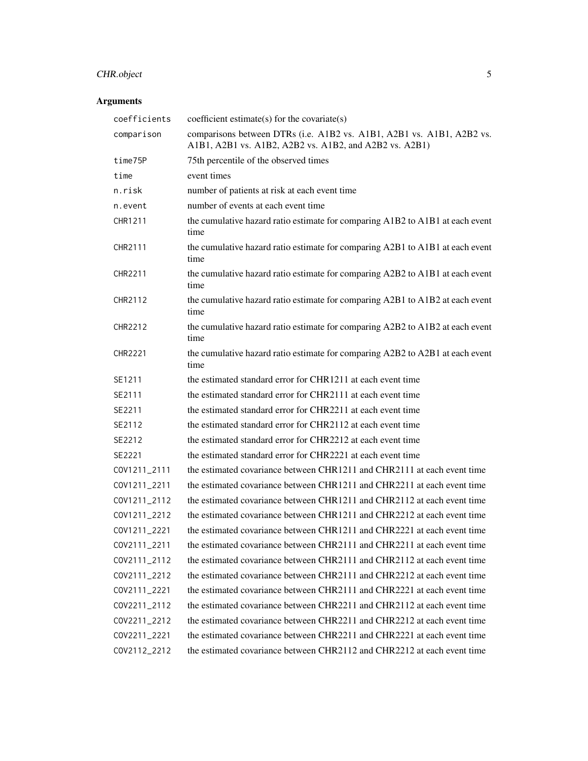# CHR.object 5

# Arguments

| coefficients   | coefficient estimate(s) for the covariate(s)                                                                                    |
|----------------|---------------------------------------------------------------------------------------------------------------------------------|
| comparison     | comparisons between DTRs (i.e. A1B2 vs. A1B1, A2B1 vs. A1B1, A2B2 vs.<br>A1B1, A2B1 vs. A1B2, A2B2 vs. A1B2, and A2B2 vs. A2B1) |
| time75P        | 75th percentile of the observed times                                                                                           |
| time           | event times                                                                                                                     |
| n.risk         | number of patients at risk at each event time                                                                                   |
| n.event        | number of events at each event time                                                                                             |
| CHR1211        | the cumulative hazard ratio estimate for comparing A1B2 to A1B1 at each event<br>time                                           |
| CHR2111        | the cumulative hazard ratio estimate for comparing A2B1 to A1B1 at each event<br>time                                           |
| CHR2211        | the cumulative hazard ratio estimate for comparing A2B2 to A1B1 at each event<br>time                                           |
| CHR2112        | the cumulative hazard ratio estimate for comparing A2B1 to A1B2 at each event<br>time                                           |
| CHR2212        | the cumulative hazard ratio estimate for comparing A2B2 to A1B2 at each event<br>time                                           |
| <b>CHR2221</b> | the cumulative hazard ratio estimate for comparing A2B2 to A2B1 at each event<br>time                                           |
| SE1211         | the estimated standard error for CHR1211 at each event time                                                                     |
| SE2111         | the estimated standard error for CHR2111 at each event time                                                                     |
| SE2211         | the estimated standard error for CHR2211 at each event time                                                                     |
| SE2112         | the estimated standard error for CHR2112 at each event time                                                                     |
| SE2212         | the estimated standard error for CHR2212 at each event time                                                                     |
| SE2221         | the estimated standard error for CHR2221 at each event time                                                                     |
| COV1211_2111   | the estimated covariance between CHR1211 and CHR2111 at each event time                                                         |
| COV1211_2211   | the estimated covariance between CHR1211 and CHR2211 at each event time                                                         |
| COV1211_2112   | the estimated covariance between CHR1211 and CHR2112 at each event time                                                         |
| COV1211_2212   | the estimated covariance between CHR1211 and CHR2212 at each event time                                                         |
| COV1211 2221   | the estimated covariance between CHR1211 and CHR2221 at each event time                                                         |
| COV2111_2211   | the estimated covariance between CHR2111 and CHR2211 at each event time                                                         |
| COV2111_2112   | the estimated covariance between CHR2111 and CHR2112 at each event time                                                         |
| COV2111_2212   | the estimated covariance between CHR2111 and CHR2212 at each event time                                                         |
| COV2111_2221   | the estimated covariance between CHR2111 and CHR2221 at each event time                                                         |
| COV2211_2112   | the estimated covariance between CHR2211 and CHR2112 at each event time                                                         |
| COV2211_2212   | the estimated covariance between CHR2211 and CHR2212 at each event time                                                         |
| COV2211_2221   | the estimated covariance between CHR2211 and CHR2221 at each event time                                                         |
| COV2112_2212   | the estimated covariance between CHR2112 and CHR2212 at each event time                                                         |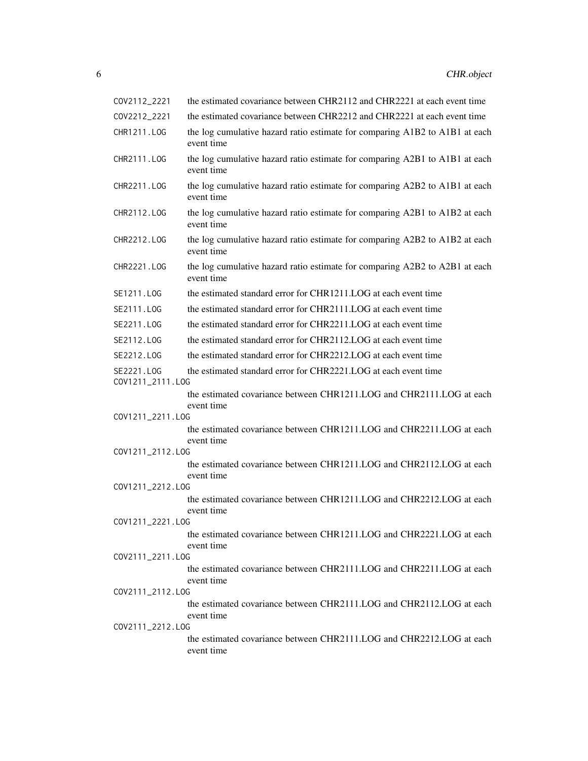| COV2112_2221                    | the estimated covariance between CHR2112 and CHR2221 at each event time                   |
|---------------------------------|-------------------------------------------------------------------------------------------|
| COV2212_2221                    | the estimated covariance between CHR2212 and CHR2221 at each event time                   |
| CHR1211.LOG                     | the log cumulative hazard ratio estimate for comparing A1B2 to A1B1 at each<br>event time |
| CHR2111.LOG                     | the log cumulative hazard ratio estimate for comparing A2B1 to A1B1 at each<br>event time |
| CHR2211.LOG                     | the log cumulative hazard ratio estimate for comparing A2B2 to A1B1 at each<br>event time |
| CHR2112.LOG                     | the log cumulative hazard ratio estimate for comparing A2B1 to A1B2 at each<br>event time |
| CHR2212.LOG                     | the log cumulative hazard ratio estimate for comparing A2B2 to A1B2 at each<br>event time |
| CHR2221.LOG                     | the log cumulative hazard ratio estimate for comparing A2B2 to A2B1 at each<br>event time |
| SE1211.LOG                      | the estimated standard error for CHR1211.LOG at each event time                           |
| SE2111, LOG                     | the estimated standard error for CHR2111.LOG at each event time                           |
| SE2211, LOG                     | the estimated standard error for CHR2211.LOG at each event time                           |
| SE2112.LOG                      | the estimated standard error for CHR2112.LOG at each event time                           |
| SE2212.LOG                      | the estimated standard error for CHR2212.LOG at each event time                           |
| SE2221, LOG<br>COV1211_2111.LOG | the estimated standard error for CHR2221.LOG at each event time                           |
|                                 | the estimated covariance between CHR1211.LOG and CHR2111.LOG at each<br>event time        |
| COV1211_2211.LOG                | the estimated covariance between CHR1211.LOG and CHR2211.LOG at each<br>event time        |
| COV1211_2112.LOG                |                                                                                           |
|                                 | the estimated covariance between CHR1211.LOG and CHR2112.LOG at each<br>event time        |
| COV1211_2212.LOG                | the estimated covariance between CHR1211.LOG and CHR2212.LOG at each                      |
|                                 | event time                                                                                |
| COV1211_2221.LOG                |                                                                                           |
|                                 | the estimated covariance between CHR1211.LOG and CHR2221.LOG at each<br>event time        |
| COV2111_2211.LOG                | the estimated covariance between CHR2111.LOG and CHR2211.LOG at each                      |
|                                 | event time                                                                                |
| COV2111_2112.LOG                |                                                                                           |
| COV2111_2212.LOG                | the estimated covariance between CHR2111.LOG and CHR2112.LOG at each<br>event time        |
|                                 | the estimated covariance between CHR2111.LOG and CHR2212.LOG at each<br>event time        |
|                                 |                                                                                           |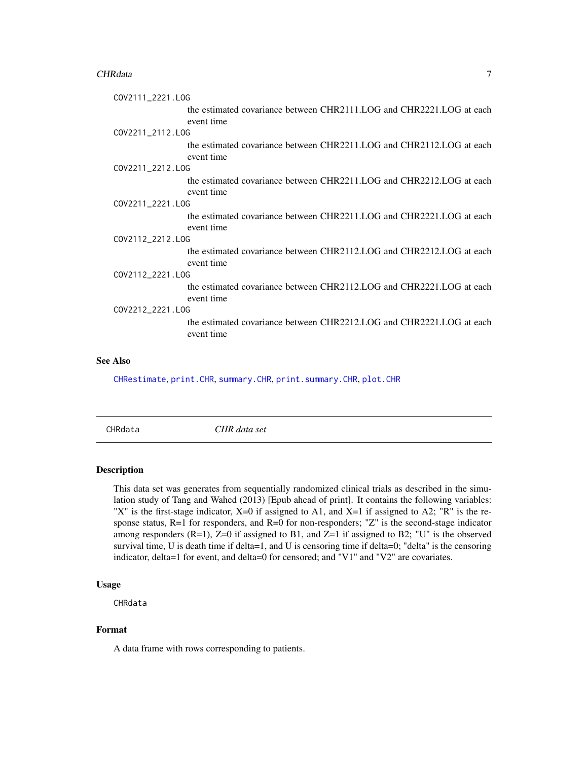#### <span id="page-6-0"></span>CHRdata 7 and 2012 12:00 and 2012 12:00 and 2012 12:00 and 2012 12:00 and 2012 12:00 and 2012 12:00 and 2012 1

| COV2111_2221.LOG                                                                   |  |  |
|------------------------------------------------------------------------------------|--|--|
| the estimated covariance between CHR2111.LOG and CHR2221.LOG at each<br>event time |  |  |
| COV2211_2112.LOG                                                                   |  |  |
| the estimated covariance between CHR2211.LOG and CHR2112.LOG at each<br>event time |  |  |
| COV2211_2212.LOG                                                                   |  |  |
| the estimated covariance between CHR2211.LOG and CHR2212.LOG at each<br>event time |  |  |
| COV2211_2221.LOG                                                                   |  |  |
| the estimated covariance between CHR2211.LOG and CHR2221.LOG at each<br>event time |  |  |
| COV2112_2212.LOG                                                                   |  |  |
| the estimated covariance between CHR2112.LOG and CHR2212.LOG at each<br>event time |  |  |
| COV2112_2221.LOG                                                                   |  |  |
| the estimated covariance between CHR2112.LOG and CHR2221.LOG at each<br>event time |  |  |
| COV2212_2221.LOG                                                                   |  |  |
| the estimated covariance between CHR2212.LOG and CHR2221.LOG at each<br>event time |  |  |
|                                                                                    |  |  |

## See Also

[CHRestimate](#page-7-1), [print.CHR](#page-22-1), [summary.CHR](#page-35-1), [print.summary.CHR](#page-23-1), [plot.CHR](#page-20-1)

CHRdata *CHR data set*

## Description

This data set was generates from sequentially randomized clinical trials as described in the simulation study of Tang and Wahed (2013) [Epub ahead of print]. It contains the following variables: "X" is the first-stage indicator, X=0 if assigned to A1, and X=1 if assigned to A2; "R" is the response status, R=1 for responders, and R=0 for non-responders; "Z" is the second-stage indicator among responders  $(R=1)$ ,  $Z=0$  if assigned to B1, and  $Z=1$  if assigned to B2; "U" is the observed survival time, U is death time if delta=1, and U is censoring time if delta=0; "delta" is the censoring indicator, delta=1 for event, and delta=0 for censored; and "V1" and "V2" are covariates.

#### Usage

CHRdata

## Format

A data frame with rows corresponding to patients.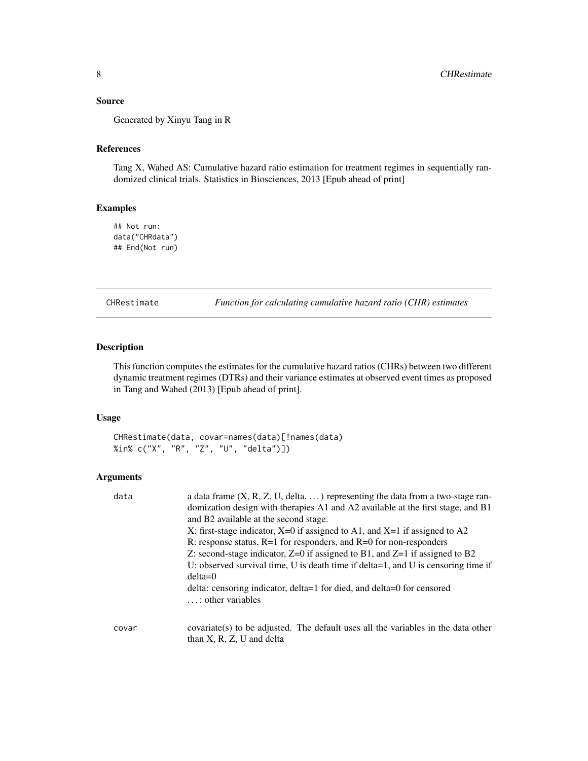#### <span id="page-7-0"></span>Source

Generated by Xinyu Tang in R

## References

Tang X, Wahed AS: Cumulative hazard ratio estimation for treatment regimes in sequentially randomized clinical trials. Statistics in Biosciences, 2013 [Epub ahead of print]

## Examples

## Not run: data("CHRdata") ## End(Not run)

<span id="page-7-1"></span>CHRestimate *Function for calculating cumulative hazard ratio (CHR) estimates*

#### Description

This function computes the estimates for the cumulative hazard ratios (CHRs) between two different dynamic treatment regimes (DTRs) and their variance estimates at observed event times as proposed in Tang and Wahed (2013) [Epub ahead of print].

## Usage

CHRestimate(data, covar=names(data)[!names(data) %in% c("X", "R", "Z", "U", "delta")])

#### Arguments

| data  | a data frame $(X, R, Z, U, delta, )$ representing the data from a two-stage ran-  |
|-------|-----------------------------------------------------------------------------------|
|       | domization design with therapies A1 and A2 available at the first stage, and B1   |
|       | and B2 available at the second stage.                                             |
|       | X: first-stage indicator, $X=0$ if assigned to A1, and $X=1$ if assigned to A2    |
|       | R: response status, $R=1$ for responders, and $R=0$ for non-responders            |
|       | Z: second-stage indicator, $Z=0$ if assigned to B1, and $Z=1$ if assigned to B2   |
|       | U: observed survival time, U is death time if delta=1, and U is censoring time if |
|       | $delta=0$                                                                         |
|       | delta: censoring indicator, delta=1 for died, and delta=0 for censored            |
|       | $\ldots$ : other variables                                                        |
|       |                                                                                   |
| covar | covariate(s) to be adjusted. The default uses all the variables in the data other |
|       | than $X$ , $R$ , $Z$ , $U$ and delta                                              |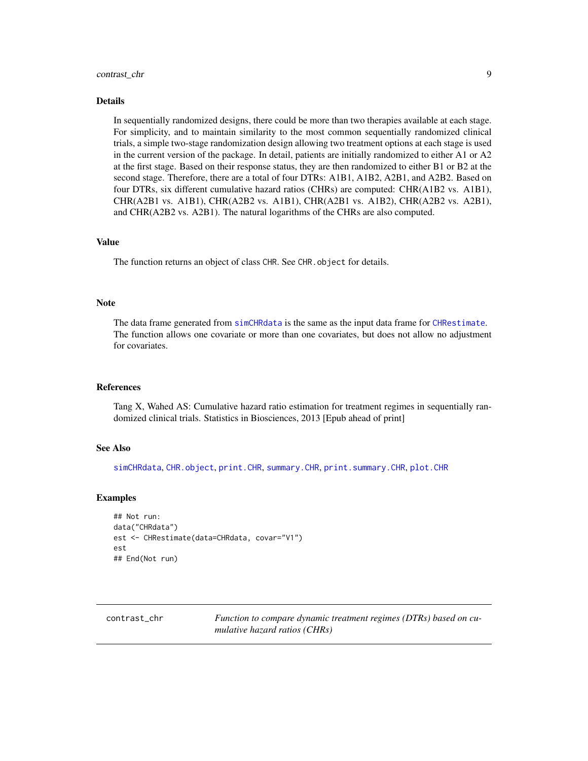#### <span id="page-8-0"></span>contrast\_chr 9

#### Details

In sequentially randomized designs, there could be more than two therapies available at each stage. For simplicity, and to maintain similarity to the most common sequentially randomized clinical trials, a simple two-stage randomization design allowing two treatment options at each stage is used in the current version of the package. In detail, patients are initially randomized to either A1 or A2 at the first stage. Based on their response status, they are then randomized to either B1 or B2 at the second stage. Therefore, there are a total of four DTRs: A1B1, A1B2, A2B1, and A2B2. Based on four DTRs, six different cumulative hazard ratios (CHRs) are computed: CHR(A1B2 vs. A1B1), CHR(A2B1 vs. A1B1), CHR(A2B2 vs. A1B1), CHR(A2B1 vs. A1B2), CHR(A2B2 vs. A2B1), and CHR(A2B2 vs. A2B1). The natural logarithms of the CHRs are also computed.

#### Value

The function returns an object of class CHR. See CHR. object for details.

#### **Note**

The data frame generated from [simCHRdata](#page-24-1) is the same as the input data frame for [CHRestimate](#page-7-1). The function allows one covariate or more than one covariates, but does not allow no adjustment for covariates.

#### References

Tang X, Wahed AS: Cumulative hazard ratio estimation for treatment regimes in sequentially randomized clinical trials. Statistics in Biosciences, 2013 [Epub ahead of print]

#### See Also

[simCHRdata](#page-24-1), [CHR.object](#page-3-1), [print.CHR](#page-22-1), [summary.CHR](#page-35-1), [print.summary.CHR](#page-23-1), [plot.CHR](#page-20-1)

#### Examples

```
## Not run:
data("CHRdata")
est <- CHRestimate(data=CHRdata, covar="V1")
est
## End(Not run)
```
<span id="page-8-1"></span>contrast\_chr *Function to compare dynamic treatment regimes (DTRs) based on cumulative hazard ratios (CHRs)*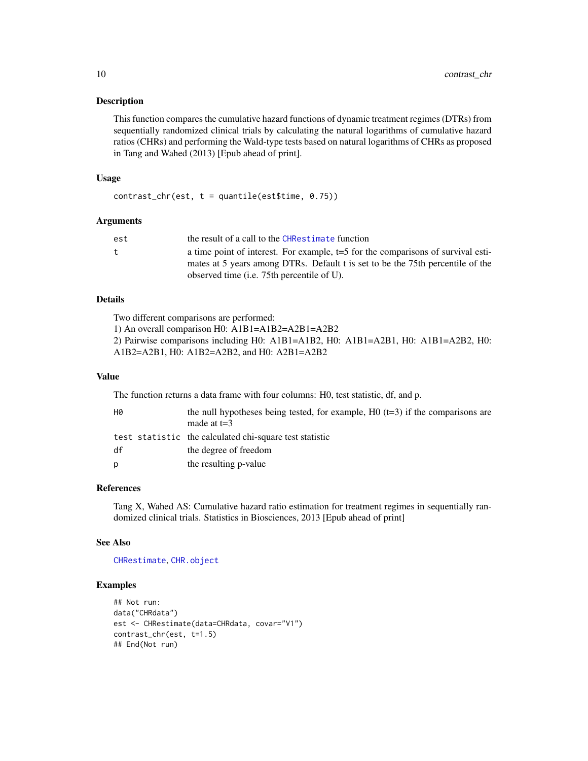#### <span id="page-9-0"></span>Description

This function compares the cumulative hazard functions of dynamic treatment regimes (DTRs) from sequentially randomized clinical trials by calculating the natural logarithms of cumulative hazard ratios (CHRs) and performing the Wald-type tests based on natural logarithms of CHRs as proposed in Tang and Wahed (2013) [Epub ahead of print].

# Usage

```
contrast_{\text{c}}(est, t = quantile(est$time, 0.75))
```
#### Arguments

| est | the result of a call to the CHRestimate function                                   |
|-----|------------------------------------------------------------------------------------|
| t.  | a time point of interest. For example, $t=5$ for the comparisons of survival esti- |
|     | mates at 5 years among DTRs. Default t is set to be the 75th percentile of the     |
|     | observed time ( <i>i.e.</i> 75th percentile of U).                                 |

#### Details

Two different comparisons are performed:

1) An overall comparison H0: A1B1=A1B2=A2B1=A2B2

2) Pairwise comparisons including H0: A1B1=A1B2, H0: A1B1=A2B1, H0: A1B1=A2B2, H0:

A1B2=A2B1, H0: A1B2=A2B2, and H0: A2B1=A2B2

## Value

The function returns a data frame with four columns: H0, test statistic, df, and p.

| H0 | the null hypotheses being tested, for example, $H_0$ (t=3) if the comparisons are<br>made at $t=3$ |
|----|----------------------------------------------------------------------------------------------------|
|    | test statistic the calculated chi-square test statistic                                            |
| df | the degree of freedom                                                                              |
| p  | the resulting p-value                                                                              |

## References

Tang X, Wahed AS: Cumulative hazard ratio estimation for treatment regimes in sequentially randomized clinical trials. Statistics in Biosciences, 2013 [Epub ahead of print]

#### See Also

[CHRestimate](#page-7-1), [CHR.object](#page-3-1)

#### Examples

```
## Not run:
data("CHRdata")
est <- CHRestimate(data=CHRdata, covar="V1")
contrast_chr(est, t=1.5)
## End(Not run)
```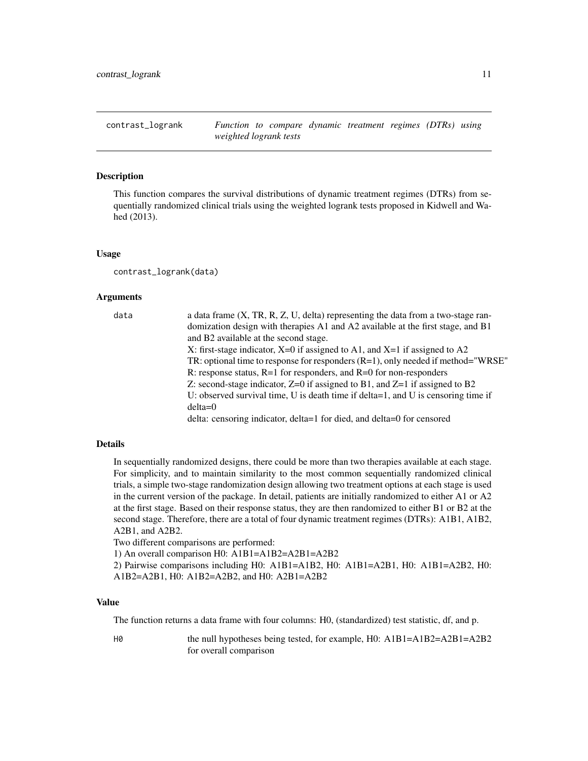<span id="page-10-1"></span><span id="page-10-0"></span>contrast\_logrank *Function to compare dynamic treatment regimes (DTRs) using weighted logrank tests*

#### Description

This function compares the survival distributions of dynamic treatment regimes (DTRs) from sequentially randomized clinical trials using the weighted logrank tests proposed in Kidwell and Wahed (2013).

#### Usage

contrast\_logrank(data)

#### Arguments

| data | a data frame $(X, TR, R, Z, U, delta)$ representing the data from a two-stage ran-  |
|------|-------------------------------------------------------------------------------------|
|      | domization design with therapies A1 and A2 available at the first stage, and B1     |
|      | and B2 available at the second stage.                                               |
|      | X: first-stage indicator, $X=0$ if assigned to A1, and $X=1$ if assigned to A2      |
|      | TR: optional time to response for responders $(R=1)$ , only needed if method="WRSE" |
|      | R: response status, $R=1$ for responders, and $R=0$ for non-responders              |
|      | Z: second-stage indicator, $Z=0$ if assigned to B1, and $Z=1$ if assigned to B2     |
|      | U: observed survival time, U is death time if delta=1, and U is censoring time if   |
|      | $delta=0$                                                                           |
|      | delta: censoring indicator, delta=1 for died, and delta=0 for censored              |

#### Details

In sequentially randomized designs, there could be more than two therapies available at each stage. For simplicity, and to maintain similarity to the most common sequentially randomized clinical trials, a simple two-stage randomization design allowing two treatment options at each stage is used in the current version of the package. In detail, patients are initially randomized to either A1 or A2 at the first stage. Based on their response status, they are then randomized to either B1 or B2 at the second stage. Therefore, there are a total of four dynamic treatment regimes (DTRs): A1B1, A1B2, A2B1, and A2B2.

Two different comparisons are performed:

1) An overall comparison H0: A1B1=A1B2=A2B1=A2B2

2) Pairwise comparisons including H0: A1B1=A1B2, H0: A1B1=A2B1, H0: A1B1=A2B2, H0: A1B2=A2B1, H0: A1B2=A2B2, and H0: A2B1=A2B2

## Value

The function returns a data frame with four columns: H0, (standardized) test statistic, df, and p.

He null hypotheses being tested, for example, H0: A1B1=A1B2=A2B1=A2B2 for overall comparison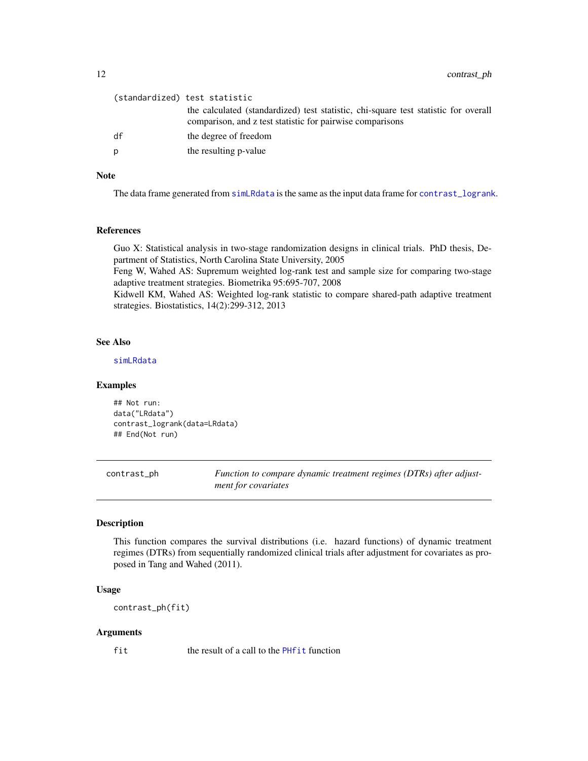<span id="page-11-0"></span>12 contrast\_ph

|    | (standardized) test statistic                                                                                                                    |
|----|--------------------------------------------------------------------------------------------------------------------------------------------------|
|    | the calculated (standardized) test statistic, chi-square test statistic for overall<br>comparison, and z test statistic for pairwise comparisons |
| df | the degree of freedom                                                                                                                            |
| D  | the resulting p-value                                                                                                                            |
|    |                                                                                                                                                  |

## Note

The data frame generated from [simLRdata](#page-29-1) is the same as the input data frame for [contrast\\_logrank](#page-10-1).

#### References

Guo X: Statistical analysis in two-stage randomization designs in clinical trials. PhD thesis, Department of Statistics, North Carolina State University, 2005

Feng W, Wahed AS: Supremum weighted log-rank test and sample size for comparing two-stage adaptive treatment strategies. Biometrika 95:695-707, 2008

Kidwell KM, Wahed AS: Weighted log-rank statistic to compare shared-path adaptive treatment strategies. Biostatistics, 14(2):299-312, 2013

### See Also

[simLRdata](#page-29-1)

## Examples

## Not run: data("LRdata") contrast\_logrank(data=LRdata) ## End(Not run)

<span id="page-11-1"></span>contrast\_ph *Function to compare dynamic treatment regimes (DTRs) after adjustment for covariates*

## Description

This function compares the survival distributions (i.e. hazard functions) of dynamic treatment regimes (DTRs) from sequentially randomized clinical trials after adjustment for covariates as proposed in Tang and Wahed (2011).

## Usage

contrast\_ph(fit)

#### Arguments

fit the result of a call to the [PHfit](#page-18-1) function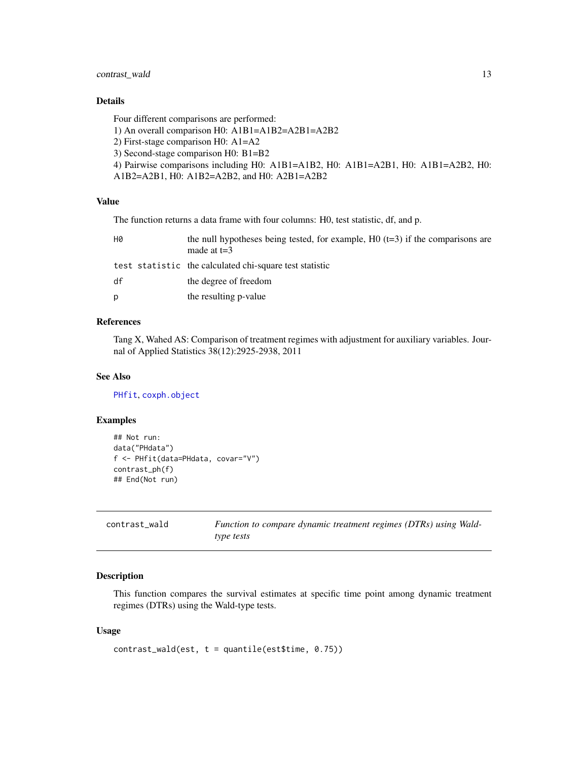## <span id="page-12-0"></span>contrast\_wald 13

## Details

Four different comparisons are performed:

1) An overall comparison H0: A1B1=A1B2=A2B1=A2B2

2) First-stage comparison H0: A1=A2

3) Second-stage comparison H0: B1=B2

```
4) Pairwise comparisons including H0: A1B1=A1B2, H0: A1B1=A2B1, H0: A1B1=A2B2, H0:
A1B2=A2B1, H0: A1B2=A2B2, and H0: A2B1=A2B2
```
## Value

The function returns a data frame with four columns: H0, test statistic, df, and p.

| H0 | the null hypotheses being tested, for example, $H0$ (t=3) if the comparisons are<br>made at $t=3$ |
|----|---------------------------------------------------------------------------------------------------|
|    | test statistic the calculated chi-square test statistic                                           |
| df | the degree of freedom                                                                             |
| p  | the resulting p-value                                                                             |

## References

Tang X, Wahed AS: Comparison of treatment regimes with adjustment for auxiliary variables. Journal of Applied Statistics 38(12):2925-2938, 2011

## See Also

[PHfit](#page-18-1), [coxph.object](#page-0-0)

#### Examples

```
## Not run:
data("PHdata")
f <- PHfit(data=PHdata, covar="V")
contrast_ph(f)
## End(Not run)
```
<span id="page-12-1"></span>

| contrast_wald | Function to compare dynamic treatment regimes (DTRs) using Wald- |
|---------------|------------------------------------------------------------------|
|               | type tests                                                       |

## Description

This function compares the survival estimates at specific time point among dynamic treatment regimes (DTRs) using the Wald-type tests.

#### Usage

```
contrast_wald(est, t = quantile(est$time, 0.75))
```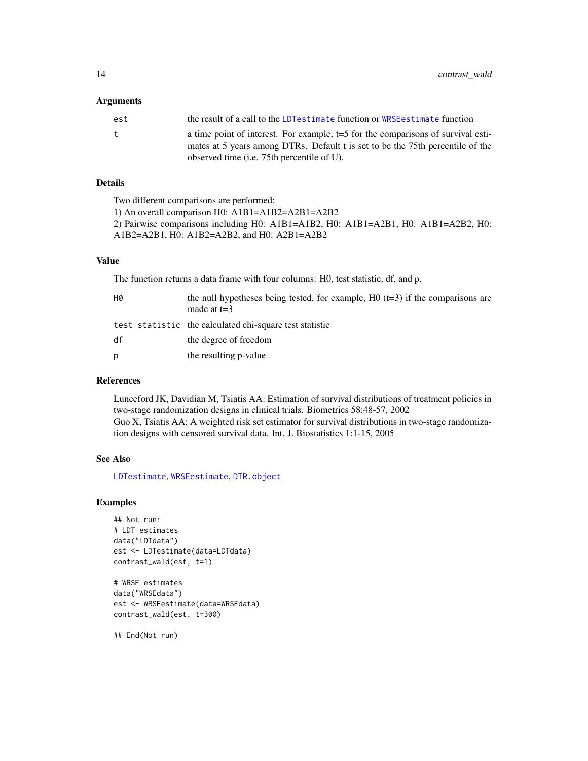#### <span id="page-13-0"></span>Arguments

| est | the result of a call to the LDT estimate function or WRSE estimate function                                                                                                                                        |
|-----|--------------------------------------------------------------------------------------------------------------------------------------------------------------------------------------------------------------------|
| t   | a time point of interest. For example, $t=5$ for the comparisons of survival esti-<br>mates at 5 years among DTRs. Default t is set to be the 75th percentile of the<br>observed time (i.e. 75th percentile of U). |

## Details

Two different comparisons are performed:

1) An overall comparison H0: A1B1=A1B2=A2B1=A2B2 2) Pairwise comparisons including H0: A1B1=A1B2, H0: A1B1=A2B1, H0: A1B1=A2B2, H0: A1B2=A2B1, H0: A1B2=A2B2, and H0: A2B1=A2B2

#### Value

The function returns a data frame with four columns: H0, test statistic, df, and p.

| HØ | the null hypotheses being tested, for example, $H_0$ (t=3) if the comparisons are<br>made at $t=3$ |
|----|----------------------------------------------------------------------------------------------------|
|    | test statistic the calculated chi-square test statistic                                            |
| df | the degree of freedom                                                                              |
| Ŋ  | the resulting p-value                                                                              |

## References

Lunceford JK, Davidian M, Tsiatis AA: Estimation of survival distributions of treatment policies in two-stage randomization designs in clinical trials. Biometrics 58:48-57, 2002 Guo X, Tsiatis AA: A weighted risk set estimator for survival distributions in two-stage randomization designs with censored survival data. Int. J. Biostatistics 1:1-15, 2005

#### See Also

[LDTestimate](#page-15-1), [WRSEestimate](#page-37-1), [DTR.object](#page-14-1)

#### Examples

```
## Not run:
# LDT estimates
data("LDTdata")
est <- LDTestimate(data=LDTdata)
contrast_wald(est, t=1)
```

```
# WRSE estimates
data("WRSEdata")
est <- WRSEestimate(data=WRSEdata)
contrast_wald(est, t=300)
```
## End(Not run)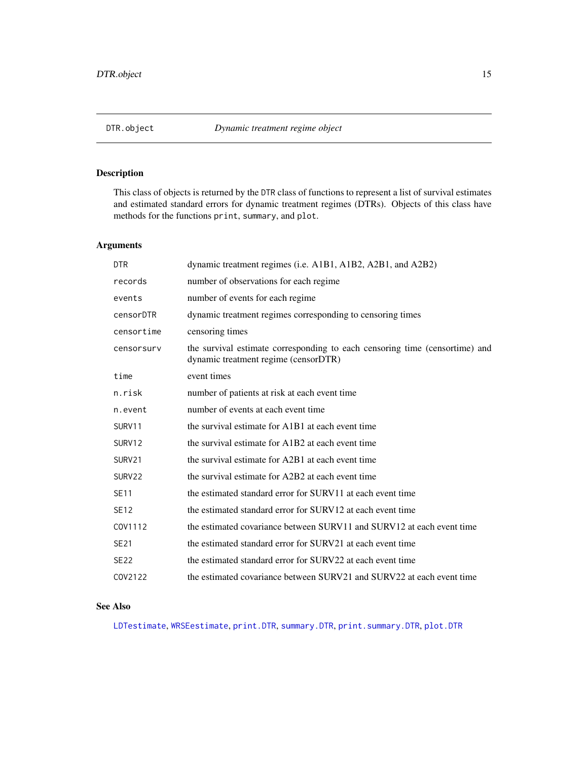## <span id="page-14-1"></span><span id="page-14-0"></span>Description

This class of objects is returned by the DTR class of functions to represent a list of survival estimates and estimated standard errors for dynamic treatment regimes (DTRs). Objects of this class have methods for the functions print, summary, and plot.

# Arguments

| <b>DTR</b>  | dynamic treatment regimes (i.e. A1B1, A1B2, A2B1, and A2B2)                                                         |
|-------------|---------------------------------------------------------------------------------------------------------------------|
| records     | number of observations for each regime.                                                                             |
| events      | number of events for each regime                                                                                    |
| censorDTR   | dynamic treatment regimes corresponding to censoring times                                                          |
| censortime  | censoring times                                                                                                     |
| censorsury  | the survival estimate corresponding to each censoring time (censortime) and<br>dynamic treatment regime (censorDTR) |
| time        | event times                                                                                                         |
| n.risk      | number of patients at risk at each event time                                                                       |
| n.event     | number of events at each event time                                                                                 |
| SURV11      | the survival estimate for A1B1 at each event time                                                                   |
| SURV12      | the survival estimate for A1B2 at each event time                                                                   |
| SURV21      | the survival estimate for A2B1 at each event time                                                                   |
| SURV22      | the survival estimate for A2B2 at each event time                                                                   |
| <b>SE11</b> | the estimated standard error for SURV11 at each event time                                                          |
| SE12        | the estimated standard error for SURV12 at each event time                                                          |
| COV1112     | the estimated covariance between SURV11 and SURV12 at each event time                                               |
| SE21        | the estimated standard error for SURV21 at each event time                                                          |
| <b>SE22</b> | the estimated standard error for SURV22 at each event time                                                          |
| COV2122     | the estimated covariance between SURV21 and SURV22 at each event time                                               |

## See Also

[LDTestimate](#page-15-1), [WRSEestimate](#page-37-1), [print.DTR](#page-22-2), [summary.DTR](#page-36-1), [print.summary.DTR](#page-24-2), [plot.DTR](#page-21-1)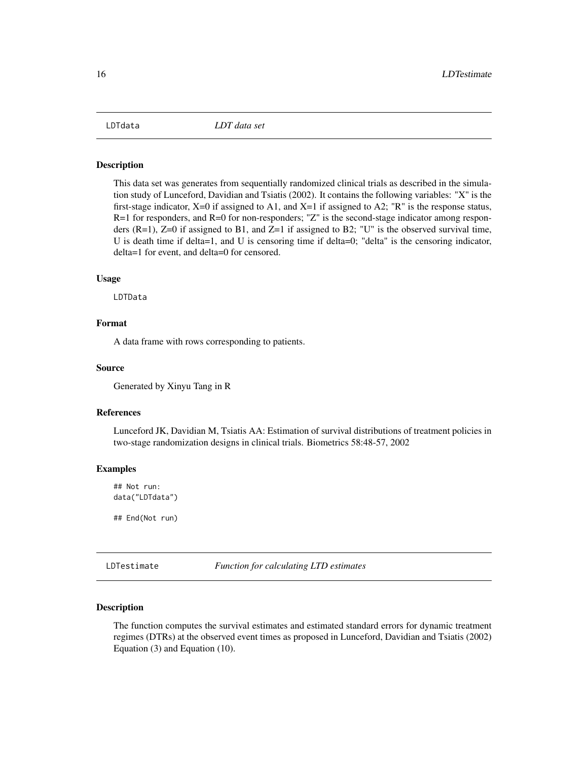<span id="page-15-0"></span>

#### Description

This data set was generates from sequentially randomized clinical trials as described in the simulation study of Lunceford, Davidian and Tsiatis (2002). It contains the following variables: "X" is the first-stage indicator,  $X=0$  if assigned to A1, and  $X=1$  if assigned to A2; "R" is the response status,  $R=1$  for responders, and  $R=0$  for non-responders; "Z" is the second-stage indicator among responders (R=1), Z=0 if assigned to B1, and Z=1 if assigned to B2; "U" is the observed survival time, U is death time if delta=1, and U is censoring time if delta=0; "delta" is the censoring indicator, delta=1 for event, and delta=0 for censored.

## Usage

LDTData

# Format

A data frame with rows corresponding to patients.

#### Source

Generated by Xinyu Tang in R

#### References

Lunceford JK, Davidian M, Tsiatis AA: Estimation of survival distributions of treatment policies in two-stage randomization designs in clinical trials. Biometrics 58:48-57, 2002

#### Examples

## Not run: data("LDTdata")

## End(Not run)

<span id="page-15-1"></span>LDTestimate *Function for calculating LTD estimates*

## **Description**

The function computes the survival estimates and estimated standard errors for dynamic treatment regimes (DTRs) at the observed event times as proposed in Lunceford, Davidian and Tsiatis (2002) Equation (3) and Equation (10).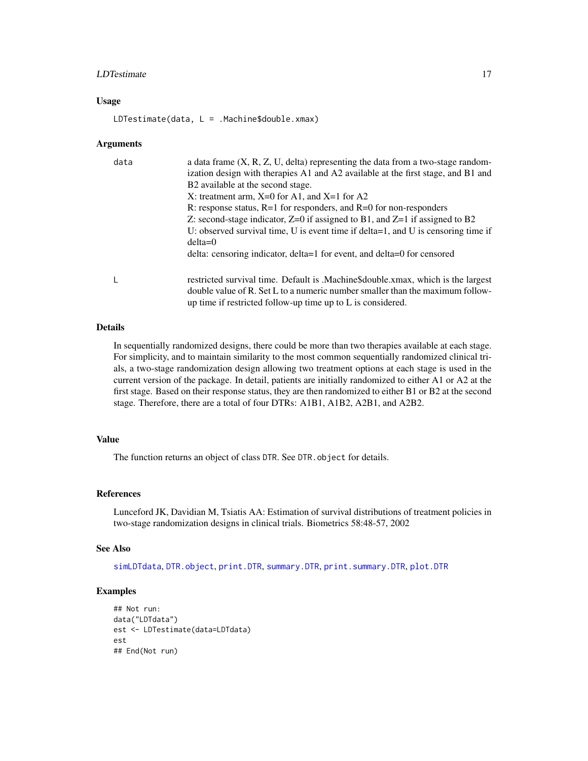#### <span id="page-16-0"></span>LDTestimate 17

#### Usage

LDTestimate(data, L = .Machine\$double.xmax)

#### Arguments

| data | a data frame $(X, R, Z, U, delta)$ representing the data from a two-stage random-<br>ization design with therapies A1 and A2 available at the first stage, and B1 and                                                              |
|------|------------------------------------------------------------------------------------------------------------------------------------------------------------------------------------------------------------------------------------|
|      | B2 available at the second stage.                                                                                                                                                                                                  |
|      | X: treatment arm, $X=0$ for A1, and $X=1$ for A2                                                                                                                                                                                   |
|      | R: response status, $R=1$ for responders, and $R=0$ for non-responders                                                                                                                                                             |
|      | Z: second-stage indicator, $Z=0$ if assigned to B1, and $Z=1$ if assigned to B2                                                                                                                                                    |
|      | U: observed survival time, U is event time if delta=1, and U is censoring time if<br>$delta=0$                                                                                                                                     |
|      | delta: censoring indicator, delta=1 for event, and delta=0 for censored                                                                                                                                                            |
|      | restricted survival time. Default is .Machine\$double.xmax, which is the largest<br>double value of R. Set L to a numeric number smaller than the maximum follow-<br>up time if restricted follow-up time up to $L$ is considered. |

## Details

In sequentially randomized designs, there could be more than two therapies available at each stage. For simplicity, and to maintain similarity to the most common sequentially randomized clinical trials, a two-stage randomization design allowing two treatment options at each stage is used in the current version of the package. In detail, patients are initially randomized to either A1 or A2 at the first stage. Based on their response status, they are then randomized to either B1 or B2 at the second stage. Therefore, there are a total of four DTRs: A1B1, A1B2, A2B1, and A2B2.

## Value

The function returns an object of class DTR. See DTR. object for details.

#### References

Lunceford JK, Davidian M, Tsiatis AA: Estimation of survival distributions of treatment policies in two-stage randomization designs in clinical trials. Biometrics 58:48-57, 2002

#### See Also

[simLDTdata](#page-27-1), [DTR.object](#page-14-1), [print.DTR](#page-22-2), [summary.DTR](#page-36-1), [print.summary.DTR](#page-24-2), [plot.DTR](#page-21-1)

## Examples

```
## Not run:
data("LDTdata")
est <- LDTestimate(data=LDTdata)
est
## End(Not run)
```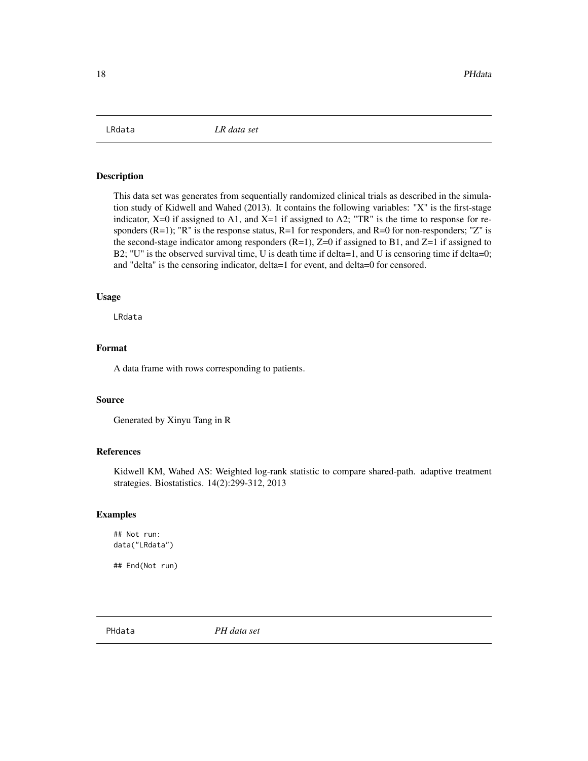<span id="page-17-0"></span>

#### Description

This data set was generates from sequentially randomized clinical trials as described in the simulation study of Kidwell and Wahed (2013). It contains the following variables: "X" is the first-stage indicator,  $X=0$  if assigned to A1, and  $X=1$  if assigned to A2; "TR" is the time to response for responders  $(R=1)$ ; "R" is the response status,  $R=1$  for responders, and  $R=0$  for non-responders; "Z" is the second-stage indicator among responders  $(R=1)$ ,  $Z=0$  if assigned to B1, and  $Z=1$  if assigned to B2; "U" is the observed survival time, U is death time if delta=1, and U is censoring time if delta=0; and "delta" is the censoring indicator, delta=1 for event, and delta=0 for censored.

#### Usage

LRdata

## Format

A data frame with rows corresponding to patients.

#### Source

Generated by Xinyu Tang in R

## References

Kidwell KM, Wahed AS: Weighted log-rank statistic to compare shared-path. adaptive treatment strategies. Biostatistics. 14(2):299-312, 2013

#### Examples

## Not run: data("LRdata")

## End(Not run)

PHdata *PH data set*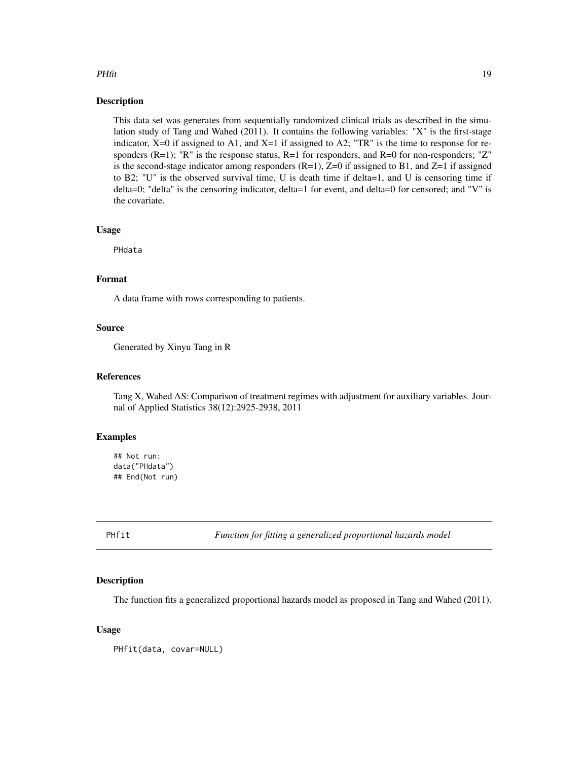#### <span id="page-18-0"></span>PHfit 2008 and 2009 and 2009 and 2009 and 2009 and 2009 and 2009 and 2009 and 2009 and 2009 and 2009 and 2009  $\pm 0.000$

## Description

This data set was generates from sequentially randomized clinical trials as described in the simulation study of Tang and Wahed (2011). It contains the following variables: "X" is the first-stage indicator,  $X=0$  if assigned to A1, and  $X=1$  if assigned to A2; "TR" is the time to response for responders  $(R=1)$ ; "R" is the response status,  $R=1$  for responders, and  $R=0$  for non-responders; "Z" is the second-stage indicator among responders  $(R=1)$ ,  $Z=0$  if assigned to B1, and  $Z=1$  if assigned to B2; "U" is the observed survival time, U is death time if delta=1, and U is censoring time if delta=0; "delta" is the censoring indicator, delta=1 for event, and delta=0 for censored; and "V" is the covariate.

#### Usage

PHdata

## Format

A data frame with rows corresponding to patients.

## Source

Generated by Xinyu Tang in R

#### References

Tang X, Wahed AS: Comparison of treatment regimes with adjustment for auxiliary variables. Journal of Applied Statistics 38(12):2925-2938, 2011

### Examples

```
## Not run:
data("PHdata")
## End(Not run)
```
<span id="page-18-1"></span>PHfit *Function for fitting a generalized proportional hazards model*

#### Description

The function fits a generalized proportional hazards model as proposed in Tang and Wahed (2011).

#### Usage

PHfit(data, covar=NULL)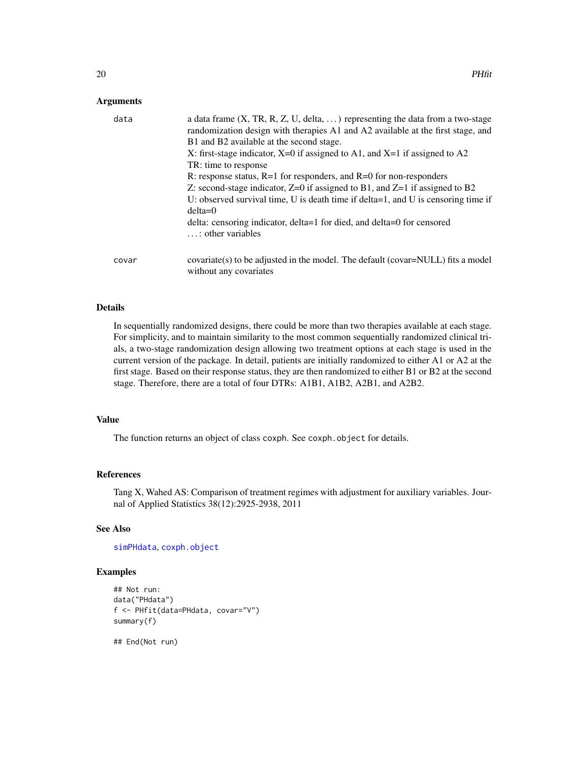## <span id="page-19-0"></span>Arguments

| data  | a data frame $(X, TR, R, Z, U, delta, )$ representing the data from a two-stage<br>randomization design with therapies A1 and A2 available at the first stage, and<br>B1 and B2 available at the second stage.<br>X: first-stage indicator, $X=0$ if assigned to A1, and $X=1$ if assigned to A2<br>TR: time to response<br>R: response status, $R=1$ for responders, and $R=0$ for non-responders<br>Z: second-stage indicator, $Z=0$ if assigned to B1, and $Z=1$ if assigned to B2<br>U: observed survival time, U is death time if delta=1, and U is censoring time if<br>$delta=0$<br>delta: censoring indicator, delta=1 for died, and delta=0 for censored<br>$\ldots$ : other variables |
|-------|-------------------------------------------------------------------------------------------------------------------------------------------------------------------------------------------------------------------------------------------------------------------------------------------------------------------------------------------------------------------------------------------------------------------------------------------------------------------------------------------------------------------------------------------------------------------------------------------------------------------------------------------------------------------------------------------------|
| covar | covariate(s) to be adjusted in the model. The default (covar=NULL) fits a model<br>without any covariates                                                                                                                                                                                                                                                                                                                                                                                                                                                                                                                                                                                       |

## Details

In sequentially randomized designs, there could be more than two therapies available at each stage. For simplicity, and to maintain similarity to the most common sequentially randomized clinical trials, a two-stage randomization design allowing two treatment options at each stage is used in the current version of the package. In detail, patients are initially randomized to either A1 or A2 at the first stage. Based on their response status, they are then randomized to either B1 or B2 at the second stage. Therefore, there are a total of four DTRs: A1B1, A1B2, A2B1, and A2B2.

#### Value

The function returns an object of class coxph. See coxph.object for details.

## References

Tang X, Wahed AS: Comparison of treatment regimes with adjustment for auxiliary variables. Journal of Applied Statistics 38(12):2925-2938, 2011

# See Also

[simPHdata](#page-31-1), [coxph.object](#page-0-0)

## Examples

```
## Not run:
data("PHdata")
f <- PHfit(data=PHdata, covar="V")
summary(f)
```
## End(Not run)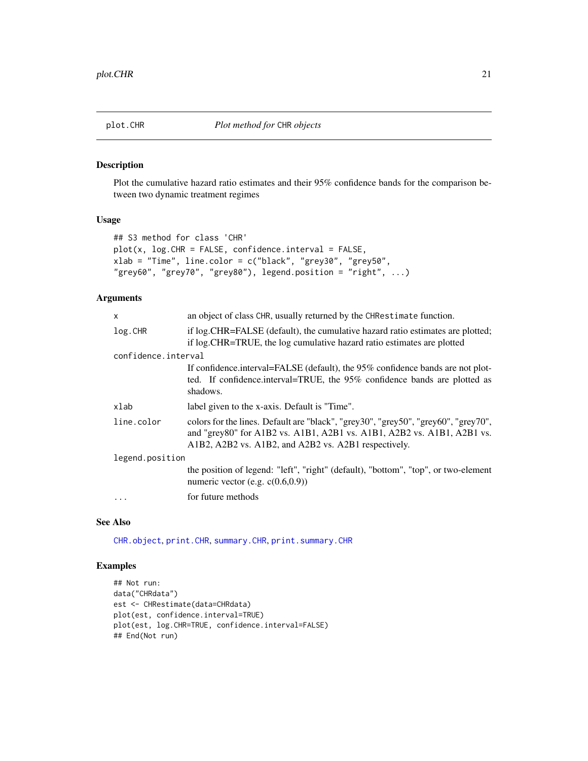<span id="page-20-1"></span><span id="page-20-0"></span>

## Description

Plot the cumulative hazard ratio estimates and their 95% confidence bands for the comparison between two dynamic treatment regimes

## Usage

```
## S3 method for class 'CHR'
plot(x, log.CHR = FALSE, confidence.interval = FALSE,
xlab = "Time", line.color = c("black", "grey30", "grey50",
"grey60", "grey70", "grey80"), legend.position = "right", ...)
```
## Arguments

| X                   | an object of class CHR, usually returned by the CHRestimate function.                                                                                                                                                |  |
|---------------------|----------------------------------------------------------------------------------------------------------------------------------------------------------------------------------------------------------------------|--|
| log.CHR             | if log. CHR=FALSE (default), the cumulative hazard ratio estimates are plotted;<br>if log. CHR=TRUE, the log cumulative hazard ratio estimates are plotted                                                           |  |
| confidence.interval |                                                                                                                                                                                                                      |  |
|                     | If confidence interval=FALSE (default), the 95% confidence bands are not plot-<br>ted. If confidence interval=TRUE, the 95% confidence bands are plotted as<br>shadows.                                              |  |
| xlab                | label given to the x-axis. Default is "Time".                                                                                                                                                                        |  |
| line.color          | colors for the lines. Default are "black", "grey30", "grey50", "grey60", "grey70",<br>and "grey80" for A1B2 vs. A1B1, A2B1 vs. A1B1, A2B2 vs. A1B1, A2B1 vs.<br>A1B2, A2B2 vs. A1B2, and A2B2 vs. A2B1 respectively. |  |
| legend.position     |                                                                                                                                                                                                                      |  |
|                     | the position of legend: "left", "right" (default), "bottom", "top", or two-element<br>numeric vector (e.g. $c(0.6,0.9)$ )                                                                                            |  |
| $\ddots$            | for future methods                                                                                                                                                                                                   |  |
|                     |                                                                                                                                                                                                                      |  |

## See Also

[CHR.object](#page-3-1), [print.CHR](#page-22-1), [summary.CHR](#page-35-1), [print.summary.CHR](#page-23-1)

# Examples

```
## Not run:
data("CHRdata")
est <- CHRestimate(data=CHRdata)
plot(est, confidence.interval=TRUE)
plot(est, log.CHR=TRUE, confidence.interval=FALSE)
## End(Not run)
```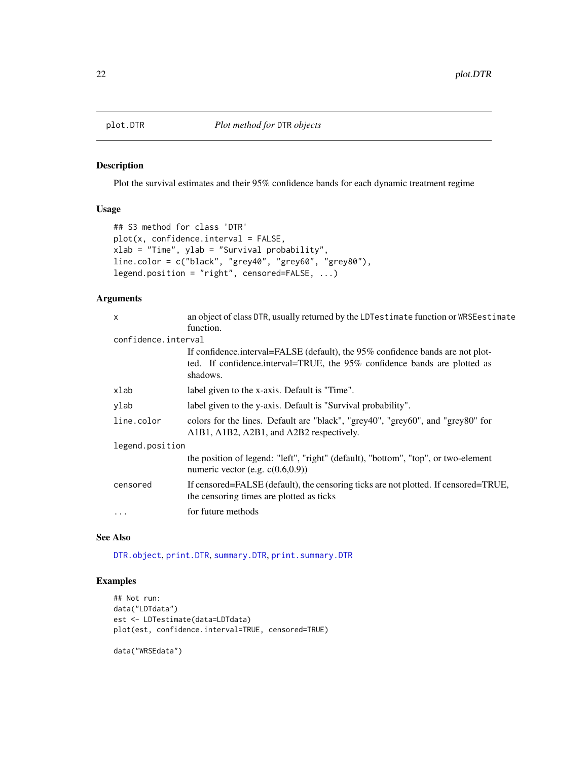<span id="page-21-1"></span><span id="page-21-0"></span>

## Description

Plot the survival estimates and their 95% confidence bands for each dynamic treatment regime

## Usage

```
## S3 method for class 'DTR'
plot(x, confidence.interval = FALSE,
xlab = "Time", ylab = "Survival probability",
line.color = c("black", "grey40", "grey60", "grey80"),
legend.position = "right", censored=FALSE, ...)
```
## Arguments

| X                   | an object of class DTR, usually returned by the LDTestimate function or WRSE estimate                                                                                   |
|---------------------|-------------------------------------------------------------------------------------------------------------------------------------------------------------------------|
|                     | function.                                                                                                                                                               |
| confidence.interval |                                                                                                                                                                         |
|                     | If confidence interval=FALSE (default), the 95% confidence bands are not plot-<br>ted. If confidence interval=TRUE, the 95% confidence bands are plotted as<br>shadows. |
| xlab                | label given to the x-axis. Default is "Time".                                                                                                                           |
| ylab                | label given to the y-axis. Default is "Survival probability".                                                                                                           |
| line.color          | colors for the lines. Default are "black", "grey40", "grey60", and "grey80" for<br>A1B1, A1B2, A2B1, and A2B2 respectively.                                             |
| legend.position     |                                                                                                                                                                         |
|                     | the position of legend: "left", "right" (default), "bottom", "top", or two-element<br>numeric vector (e.g. $c(0.6,0.9)$ )                                               |
| censored            | If censored=FALSE (default), the censoring ticks are not plotted. If censored=TRUE,<br>the censoring times are plotted as ticks                                         |
| $\ddotsc$           | for future methods                                                                                                                                                      |
|                     |                                                                                                                                                                         |

#### See Also

[DTR.object](#page-14-1), [print.DTR](#page-22-2), [summary.DTR](#page-36-1), [print.summary.DTR](#page-24-2)

### Examples

```
## Not run:
data("LDTdata")
est <- LDTestimate(data=LDTdata)
plot(est, confidence.interval=TRUE, censored=TRUE)
```
data("WRSEdata")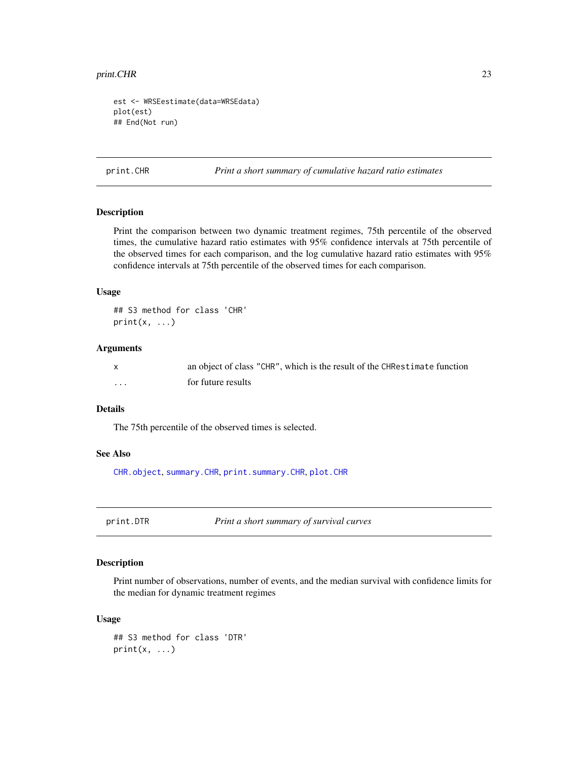#### <span id="page-22-0"></span>print.CHR 23

```
est <- WRSEestimate(data=WRSEdata)
plot(est)
## End(Not run)
```
<span id="page-22-1"></span>print.CHR *Print a short summary of cumulative hazard ratio estimates*

## Description

Print the comparison between two dynamic treatment regimes, 75th percentile of the observed times, the cumulative hazard ratio estimates with 95% confidence intervals at 75th percentile of the observed times for each comparison, and the log cumulative hazard ratio estimates with 95% confidence intervals at 75th percentile of the observed times for each comparison.

## Usage

## S3 method for class 'CHR'  $print(x, \ldots)$ 

## Arguments

|   | an object of class "CHR", which is the result of the CHRestimate function |
|---|---------------------------------------------------------------------------|
| . | for future results                                                        |

## Details

The 75th percentile of the observed times is selected.

## See Also

[CHR.object](#page-3-1), [summary.CHR](#page-35-1), [print.summary.CHR](#page-23-1), [plot.CHR](#page-20-1)

<span id="page-22-2"></span>print.DTR *Print a short summary of survival curves*

#### Description

Print number of observations, number of events, and the median survival with confidence limits for the median for dynamic treatment regimes

## Usage

```
## S3 method for class 'DTR'
print(x, \ldots)
```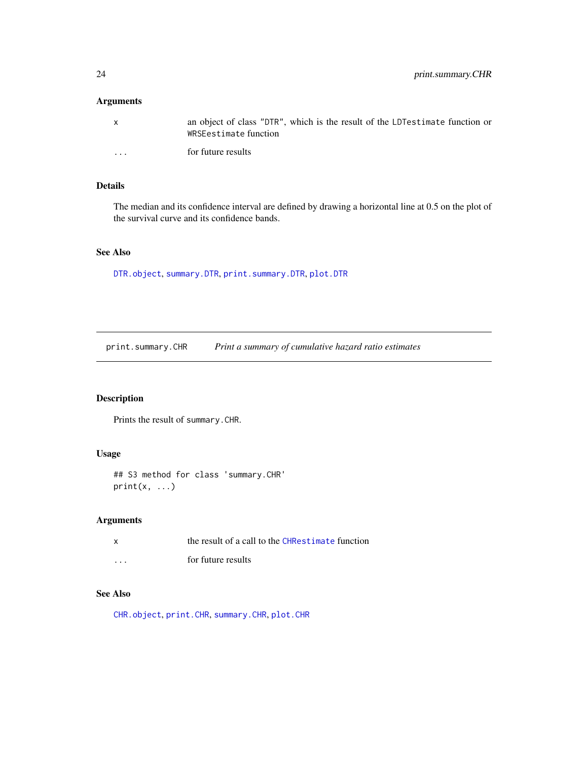# <span id="page-23-0"></span>Arguments

| X        | an object of class "DTR", which is the result of the LDT estimate function or<br>WRSEestimate function |
|----------|--------------------------------------------------------------------------------------------------------|
| $\cdots$ | for future results                                                                                     |

# Details

The median and its confidence interval are defined by drawing a horizontal line at 0.5 on the plot of the survival curve and its confidence bands.

# See Also

[DTR.object](#page-14-1), [summary.DTR](#page-36-1), [print.summary.DTR](#page-24-2), [plot.DTR](#page-21-1)

<span id="page-23-1"></span>print.summary.CHR *Print a summary of cumulative hazard ratio estimates*

## Description

Prints the result of summary.CHR.

## Usage

## S3 method for class 'summary.CHR'  $print(x, \ldots)$ 

## Arguments

| $\times$ | the result of a call to the CHRestimate function |
|----------|--------------------------------------------------|
| .        | for future results                               |

# See Also

[CHR.object](#page-3-1), [print.CHR](#page-22-1), [summary.CHR](#page-35-1), [plot.CHR](#page-20-1)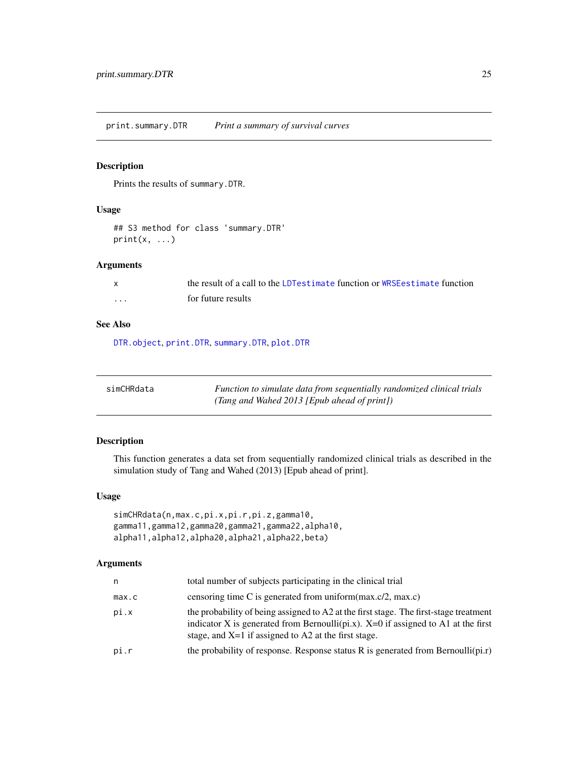<span id="page-24-2"></span><span id="page-24-0"></span>print.summary.DTR *Print a summary of survival curves*

## Description

Prints the results of summary.DTR.

## Usage

```
## S3 method for class 'summary.DTR'
print(x, \ldots)
```
## Arguments

|   | the result of a call to the LDT estimate function or WRSE estimate function |
|---|-----------------------------------------------------------------------------|
| . | for future results                                                          |

#### See Also

[DTR.object](#page-14-1), [print.DTR](#page-22-2), [summary.DTR](#page-36-1), [plot.DTR](#page-21-1)

<span id="page-24-1"></span>

| simCHRdata | Function to simulate data from sequentially randomized clinical trials |
|------------|------------------------------------------------------------------------|
|            | (Tang and Wahed 2013 [Epub ahead of print])                            |

## Description

This function generates a data set from sequentially randomized clinical trials as described in the simulation study of Tang and Wahed (2013) [Epub ahead of print].

## Usage

```
simCHRdata(n,max.c,pi.x,pi.r,pi.z,gamma10,
gamma11,gamma12,gamma20,gamma21,gamma22,alpha10,
alpha11,alpha12,alpha20,alpha21,alpha22,beta)
```
## Arguments

| n     | total number of subjects participating in the clinical trial                                                                                                                                                                           |
|-------|----------------------------------------------------------------------------------------------------------------------------------------------------------------------------------------------------------------------------------------|
| max.c | censoring time C is generated from uniform $(\text{max.c}/2, \text{max.c})$                                                                                                                                                            |
| pi.x  | the probability of being assigned to A2 at the first stage. The first-stage treatment<br>indicator X is generated from Bernoulli(pi.x). $X=0$ if assigned to A1 at the first<br>stage, and $X=1$ if assigned to A2 at the first stage. |
| pi.r  | the probability of response. Response status R is generated from Bernoulli( $pi.r$ )                                                                                                                                                   |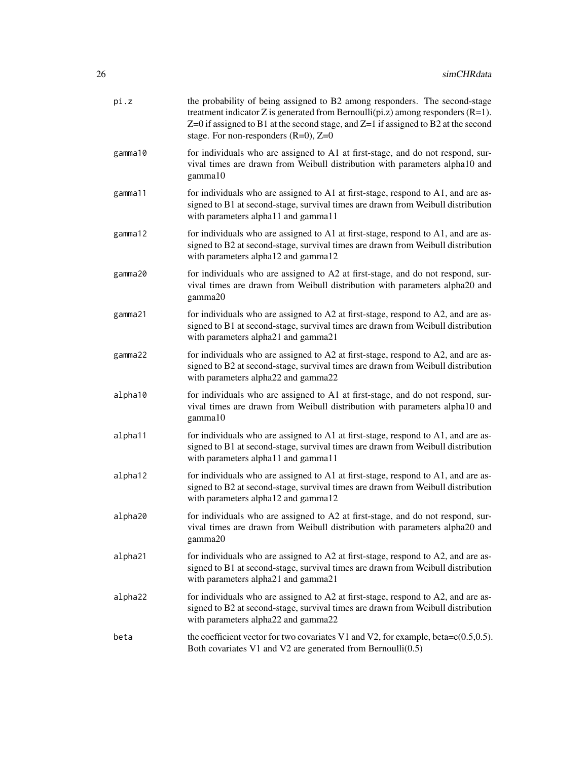| pi.z    | the probability of being assigned to B2 among responders. The second-stage<br>treatment indicator Z is generated from Bernoulli( $pi.z$ ) among responders ( $R=1$ ).<br>$Z=0$ if assigned to B1 at the second stage, and $Z=1$ if assigned to B2 at the second<br>stage. For non-responders $(R=0)$ , $Z=0$ |
|---------|--------------------------------------------------------------------------------------------------------------------------------------------------------------------------------------------------------------------------------------------------------------------------------------------------------------|
| gamma10 | for individuals who are assigned to A1 at first-stage, and do not respond, sur-<br>vival times are drawn from Weibull distribution with parameters alpha10 and<br>gamma10                                                                                                                                    |
| gamma11 | for individuals who are assigned to A1 at first-stage, respond to A1, and are as-<br>signed to B1 at second-stage, survival times are drawn from Weibull distribution<br>with parameters alpha11 and gamma11                                                                                                 |
| gamma12 | for individuals who are assigned to A1 at first-stage, respond to A1, and are as-<br>signed to B2 at second-stage, survival times are drawn from Weibull distribution<br>with parameters alpha12 and gamma12                                                                                                 |
| gamma20 | for individuals who are assigned to A2 at first-stage, and do not respond, sur-<br>vival times are drawn from Weibull distribution with parameters alpha20 and<br>gamma20                                                                                                                                    |
| gamma21 | for individuals who are assigned to A2 at first-stage, respond to A2, and are as-<br>signed to B1 at second-stage, survival times are drawn from Weibull distribution<br>with parameters alpha21 and gamma21                                                                                                 |
| gamma22 | for individuals who are assigned to A2 at first-stage, respond to A2, and are as-<br>signed to B2 at second-stage, survival times are drawn from Weibull distribution<br>with parameters alpha22 and gamma22                                                                                                 |
| alpha10 | for individuals who are assigned to A1 at first-stage, and do not respond, sur-<br>vival times are drawn from Weibull distribution with parameters alpha10 and<br>gamma10                                                                                                                                    |
| alpha11 | for individuals who are assigned to A1 at first-stage, respond to A1, and are as-<br>signed to B1 at second-stage, survival times are drawn from Weibull distribution<br>with parameters alpha11 and gamma11                                                                                                 |
| alpha12 | for individuals who are assigned to A1 at first-stage, respond to A1, and are as-<br>signed to B2 at second-stage, survival times are drawn from Weibull distribution<br>with parameters alpha12 and gamma12                                                                                                 |
| alpha20 | for individuals who are assigned to A2 at first-stage, and do not respond, sur-<br>vival times are drawn from Weibull distribution with parameters alpha20 and<br>gamma20                                                                                                                                    |
| alpha21 | for individuals who are assigned to A2 at first-stage, respond to A2, and are as-<br>signed to B1 at second-stage, survival times are drawn from Weibull distribution<br>with parameters alpha21 and gamma21                                                                                                 |
| alpha22 | for individuals who are assigned to A2 at first-stage, respond to A2, and are as-<br>signed to B2 at second-stage, survival times are drawn from Weibull distribution<br>with parameters alpha22 and gamma22                                                                                                 |
| beta    | the coefficient vector for two covariates V1 and V2, for example, beta= $c(0.5,0.5)$ .<br>Both covariates V1 and V2 are generated from Bernoulli $(0.5)$                                                                                                                                                     |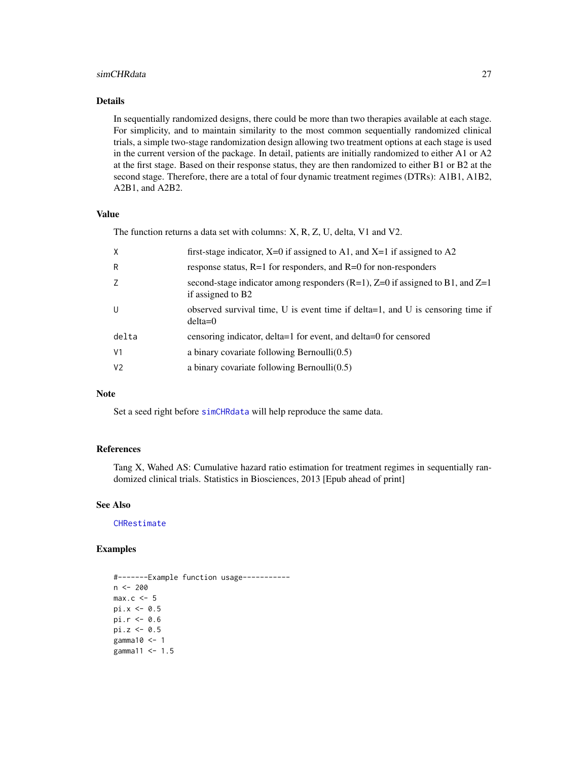#### <span id="page-26-0"></span>simCHRdata 27

## Details

In sequentially randomized designs, there could be more than two therapies available at each stage. For simplicity, and to maintain similarity to the most common sequentially randomized clinical trials, a simple two-stage randomization design allowing two treatment options at each stage is used in the current version of the package. In detail, patients are initially randomized to either A1 or A2 at the first stage. Based on their response status, they are then randomized to either B1 or B2 at the second stage. Therefore, there are a total of four dynamic treatment regimes (DTRs): A1B1, A1B2, A2B1, and A2B2.

## Value

The function returns a data set with columns: X, R, Z, U, delta, V1 and V2.

| X              | first-stage indicator, $X=0$ if assigned to A1, and $X=1$ if assigned to A2                               |
|----------------|-----------------------------------------------------------------------------------------------------------|
| R              | response status, $R=1$ for responders, and $R=0$ for non-responders                                       |
| Z              | second-stage indicator among responders $(R=1)$ , $Z=0$ if assigned to B1, and $Z=1$<br>if assigned to B2 |
| U              | observed survival time, U is event time if delta=1, and U is censoring time if<br>$delta=0$               |
| delta          | censoring indicator, delta=1 for event, and delta=0 for censored                                          |
| V <sub>1</sub> | a binary covariate following Bernoulli $(0.5)$                                                            |
| V <sub>2</sub> | a binary covariate following Bernoulli $(0.5)$                                                            |
|                |                                                                                                           |

## **Note**

Set a seed right before [simCHRdata](#page-24-1) will help reproduce the same data.

## References

Tang X, Wahed AS: Cumulative hazard ratio estimation for treatment regimes in sequentially randomized clinical trials. Statistics in Biosciences, 2013 [Epub ahead of print]

## See Also

**[CHRestimate](#page-7-1)** 

## Examples

```
#-------Example function usage-----------
n < -200max.c < -5pi.x \leftarrow 0.5pi.r <- 0.6
pi.z < -0.5gamma10 <- 1
gamma11 <-1.5
```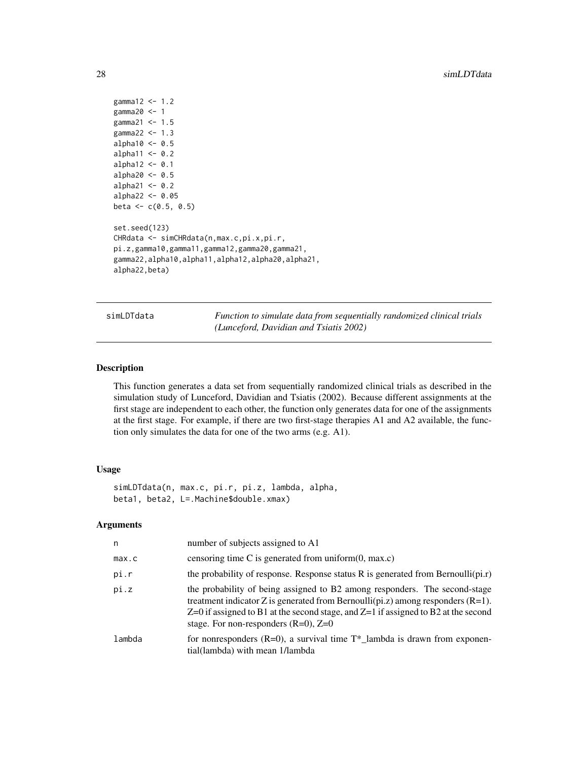```
gamma12 <- 1.2
gamma20 <- 1
gamma21 <- 1.5
gamma22 <-1.3alpha10 <-0.5alpha11 <- 0.2
alpha12 < -0.1alpha20 <-0.5alpha21 <-0.2alpha22 <- 0.05
beta <-c(0.5, 0.5)set.seed(123)
CHRdata <- simCHRdata(n,max.c,pi.x,pi.r,
pi.z,gamma10,gamma11,gamma12,gamma20,gamma21,
gamma22,alpha10,alpha11,alpha12,alpha20,alpha21,
alpha22,beta)
```
<span id="page-27-1"></span>simLDTdata *Function to simulate data from sequentially randomized clinical trials (Lunceford, Davidian and Tsiatis 2002)*

#### Description

This function generates a data set from sequentially randomized clinical trials as described in the simulation study of Lunceford, Davidian and Tsiatis (2002). Because different assignments at the first stage are independent to each other, the function only generates data for one of the assignments at the first stage. For example, if there are two first-stage therapies A1 and A2 available, the function only simulates the data for one of the two arms (e.g. A1).

## Usage

```
simLDTdata(n, max.c, pi.r, pi.z, lambda, alpha,
beta1, beta2, L=.Machine$double.xmax)
```
#### Arguments

| n      | number of subjects assigned to A1                                                                                                                                                                                                                                                                       |
|--------|---------------------------------------------------------------------------------------------------------------------------------------------------------------------------------------------------------------------------------------------------------------------------------------------------------|
| max.c  | censoring time C is generated from uniform $(0, \text{max.c})$                                                                                                                                                                                                                                          |
| pi.r   | the probability of response. Response status R is generated from Bernoulli(pi.r)                                                                                                                                                                                                                        |
| pi.z   | the probability of being assigned to B2 among responders. The second-stage<br>treatment indicator Z is generated from Bernoulli(pi.z) among responders $(R=1)$ .<br>$Z=0$ if assigned to B1 at the second stage, and $Z=1$ if assigned to B2 at the second<br>stage. For non-responders $(R=0)$ , $Z=0$ |
| lambda | for nonresponders $(R=0)$ , a survival time $T^*$ lambda is drawn from exponen-<br>tial(lambda) with mean 1/lambda                                                                                                                                                                                      |

<span id="page-27-0"></span>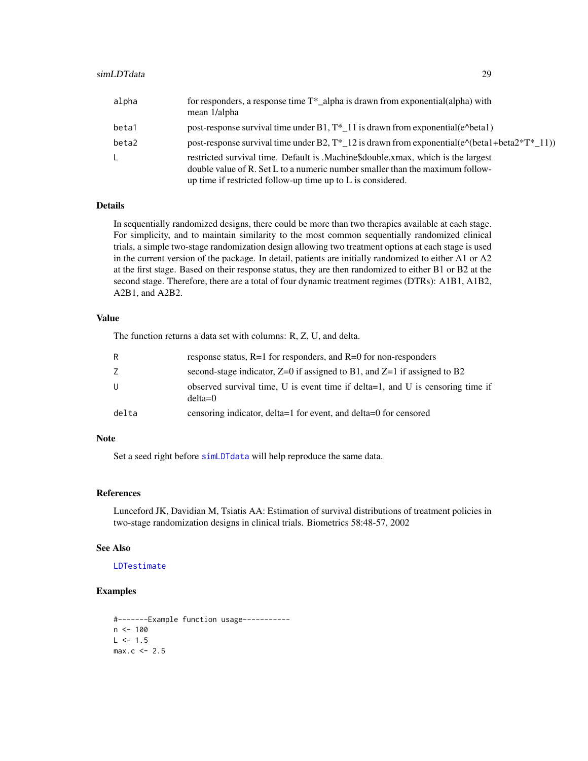<span id="page-28-0"></span>

| alpha | for responders, a response time $T^*$ alpha is drawn from exponential (alpha) with<br>mean 1/alpha                                                                                                                               |
|-------|----------------------------------------------------------------------------------------------------------------------------------------------------------------------------------------------------------------------------------|
| beta1 | post-response survival time under B1, $T^*$ 11 is drawn from exponential(e^beta1)                                                                                                                                                |
| beta2 | post-response survival time under B2, $T^*$ 12 is drawn from exponential( $e^{\wedge}$ (beta1+beta2* $T^*$ 11))                                                                                                                  |
| L.    | restricted survival time. Default is .Machine\$double.xmax, which is the largest<br>double value of R. Set L to a numeric number smaller than the maximum follow-<br>up time if restricted follow-up time up to L is considered. |

## Details

In sequentially randomized designs, there could be more than two therapies available at each stage. For simplicity, and to maintain similarity to the most common sequentially randomized clinical trials, a simple two-stage randomization design allowing two treatment options at each stage is used in the current version of the package. In detail, patients are initially randomized to either A1 or A2 at the first stage. Based on their response status, they are then randomized to either B1 or B2 at the second stage. Therefore, there are a total of four dynamic treatment regimes (DTRs): A1B1, A1B2, A2B1, and A2B2.

## Value

The function returns a data set with columns: R, Z, U, and delta.

| R     | response status, $R=1$ for responders, and $R=0$ for non-responders                         |
|-------|---------------------------------------------------------------------------------------------|
|       | second-stage indicator, $Z=0$ if assigned to B1, and $Z=1$ if assigned to B2                |
| U     | observed survival time, U is event time if delta=1, and U is censoring time if<br>$delta=0$ |
| delta | censoring indicator, delta=1 for event, and delta=0 for censored                            |

#### Note

Set a seed right before [simLDTdata](#page-27-1) will help reproduce the same data.

## References

Lunceford JK, Davidian M, Tsiatis AA: Estimation of survival distributions of treatment policies in two-stage randomization designs in clinical trials. Biometrics 58:48-57, 2002

#### See Also

#### [LDTestimate](#page-15-1)

## Examples

```
#-------Example function usage-----------
n < - 100L < -1.5max.c < -2.5
```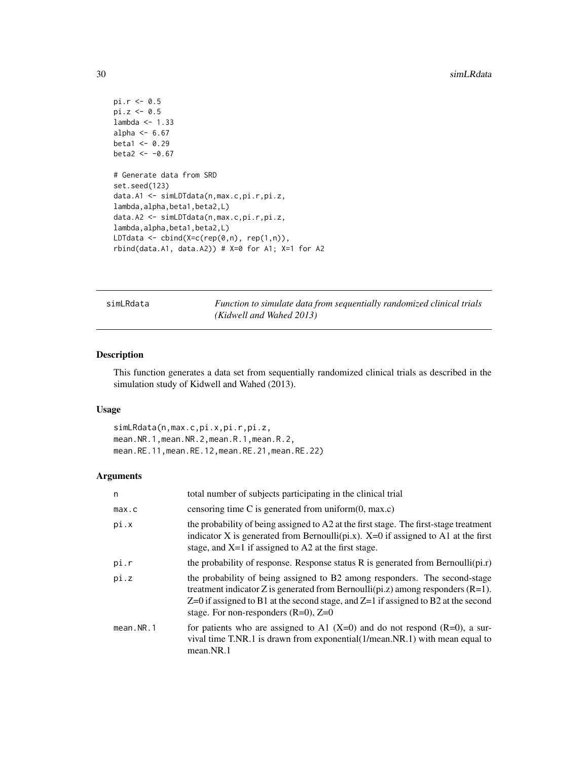```
pi.r <- 0.5
pi.z <- 0.5
lambda <- 1.33
alpha <-6.67beta1 <- 0.29
beta2 < -0.67# Generate data from SRD
set.seed(123)
data.A1 <- simLDTdata(n,max.c,pi.r,pi.z,
lambda,alpha,beta1,beta2,L)
data.A2 <- simLDTdata(n,max.c,pi.r,pi.z,
lambda,alpha,beta1,beta2,L)
LDTdata \leq cbind(X=c(rep(0,n), rep(1,n)),
rbind(data.A1, data.A2)) # X=0 for A1; X=1 for A2
```
<span id="page-29-1"></span>simLRdata *Function to simulate data from sequentially randomized clinical trials (Kidwell and Wahed 2013)*

## Description

This function generates a data set from sequentially randomized clinical trials as described in the simulation study of Kidwell and Wahed (2013).

#### Usage

simLRdata(n,max.c,pi.x,pi.r,pi.z, mean.NR.1,mean.NR.2,mean.R.1,mean.R.2, mean.RE.11,mean.RE.12,mean.RE.21,mean.RE.22)

## Arguments

| n         | total number of subjects participating in the clinical trial                                                                                                                                                                                                                                            |
|-----------|---------------------------------------------------------------------------------------------------------------------------------------------------------------------------------------------------------------------------------------------------------------------------------------------------------|
| max.c     | censoring time C is generated from uniform $(0, \text{max.c})$                                                                                                                                                                                                                                          |
| pi.x      | the probability of being assigned to A2 at the first stage. The first-stage treatment<br>indicator X is generated from Bernoulli(pi.x). $X=0$ if assigned to A1 at the first<br>stage, and $X=1$ if assigned to A2 at the first stage.                                                                  |
| pi.r      | the probability of response. Response status $R$ is generated from Bernoulli( $pi.r$ )                                                                                                                                                                                                                  |
| pi.z      | the probability of being assigned to B2 among responders. The second-stage<br>treatment indicator Z is generated from Bernoulli(pi.z) among responders $(R=1)$ .<br>$Z=0$ if assigned to B1 at the second stage, and $Z=1$ if assigned to B2 at the second<br>stage. For non-responders $(R=0)$ , $Z=0$ |
| mean.NR.1 | for patients who are assigned to A1 $(X=0)$ and do not respond $(R=0)$ , a sur-<br>vival time T.NR.1 is drawn from exponential $(1/mean.NR.1)$ with mean equal to<br>mean.NR.1                                                                                                                          |

<span id="page-29-0"></span>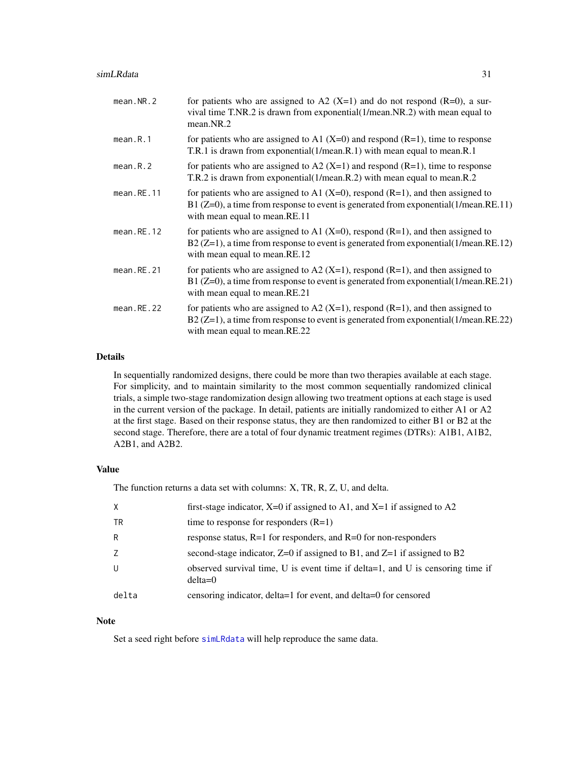<span id="page-30-0"></span>

| mean.NR.2     | for patients who are assigned to A2 (X=1) and do not respond (R=0), a sur-<br>vival time T.NR.2 is drawn from exponential(1/mean.NR.2) with mean equal to<br>mean.NR.2                                            |
|---------------|-------------------------------------------------------------------------------------------------------------------------------------------------------------------------------------------------------------------|
| mean.R.1      | for patients who are assigned to A1 $(X=0)$ and respond $(R=1)$ , time to response<br>T.R.1 is drawn from exponential(1/mean.R.1) with mean equal to mean.R.1                                                     |
| mean.R.2      | for patients who are assigned to A2 $(X=1)$ and respond $(R=1)$ , time to response<br>T.R.2 is drawn from exponential(1/mean.R.2) with mean equal to mean.R.2                                                     |
| mean.RE.11    | for patients who are assigned to A1 $(X=0)$ , respond $(R=1)$ , and then assigned to<br>B1 $(Z=0)$ , a time from response to event is generated from exponential (1/mean.RE.11)<br>with mean equal to mean. RE.11 |
| $mean$ .RE.12 | for patients who are assigned to A1 $(X=0)$ , respond $(R=1)$ , and then assigned to<br>$B2 (Z=1)$ , a time from response to event is generated from exponential (1/mean.RE.12)<br>with mean equal to mean.RE.12  |
| $mean$ .RE.21 | for patients who are assigned to A2 (X=1), respond $(R=1)$ , and then assigned to<br>B1 (Z=0), a time from response to event is generated from exponential(1/mean.RE.21)<br>with mean equal to mean. RE. 21       |
| $mean$ .RE.22 | for patients who are assigned to A2 (X=1), respond $(R=1)$ , and then assigned to<br>$B2(Z=1)$ , a time from response to event is generated from exponential(1/mean.RE.22)<br>with mean equal to mean.RE.22       |

#### Details

In sequentially randomized designs, there could be more than two therapies available at each stage. For simplicity, and to maintain similarity to the most common sequentially randomized clinical trials, a simple two-stage randomization design allowing two treatment options at each stage is used in the current version of the package. In detail, patients are initially randomized to either A1 or A2 at the first stage. Based on their response status, they are then randomized to either B1 or B2 at the second stage. Therefore, there are a total of four dynamic treatment regimes (DTRs): A1B1, A1B2, A2B1, and A2B2.

## Value

The function returns a data set with columns: X, TR, R, Z, U, and delta.

| $\times$ | first-stage indicator, $X=0$ if assigned to A1, and $X=1$ if assigned to A2                 |
|----------|---------------------------------------------------------------------------------------------|
| TR       | time to response for responders $(R=1)$                                                     |
| R        | response status, $R=1$ for responders, and $R=0$ for non-responders                         |
| 7        | second-stage indicator, $Z=0$ if assigned to B1, and $Z=1$ if assigned to B2                |
| U        | observed survival time, U is event time if delta=1, and U is censoring time if<br>$delta=0$ |
| delta    | censoring indicator, delta=1 for event, and delta=0 for censored                            |

## Note

Set a seed right before [simLRdata](#page-29-1) will help reproduce the same data.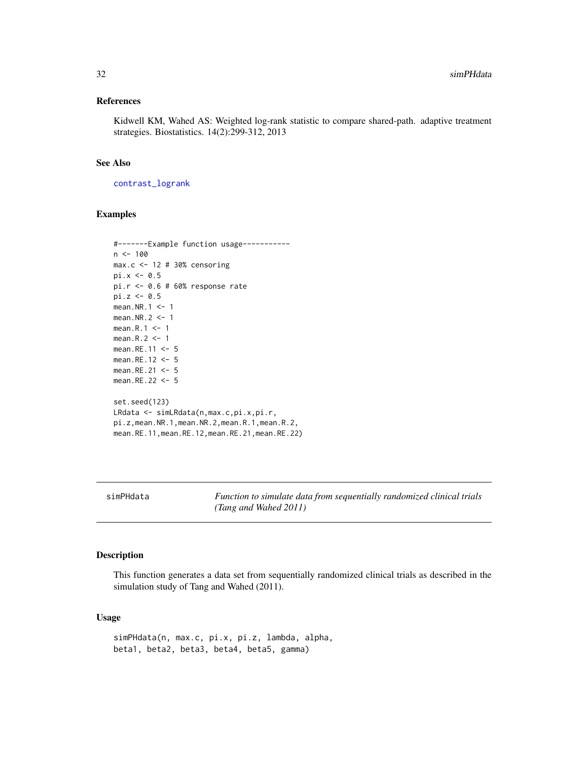#### <span id="page-31-0"></span>References

Kidwell KM, Wahed AS: Weighted log-rank statistic to compare shared-path. adaptive treatment strategies. Biostatistics. 14(2):299-312, 2013

## See Also

[contrast\\_logrank](#page-10-1)

#### Examples

```
#-------Example function usage-----------
n < - 100max.c <- 12 # 30% censoring
pi.x \leftarrow 0.5pi.r <- 0.6 # 60% response rate
pi.z <- 0.5
mean.NR.1 <-1mean.NR.2 < -1mean.R.1 \leq -1mean.R.2 <- 1
mean.RE.11 <- 5
mean.RE.12 <- 5
mean.RE.21 <- 5
mean.RE.22 <- 5
set.seed(123)
LRdata <- simLRdata(n,max.c,pi.x,pi.r,
pi.z,mean.NR.1,mean.NR.2,mean.R.1,mean.R.2,
mean.RE.11,mean.RE.12,mean.RE.21,mean.RE.22)
```
<span id="page-31-1"></span>simPHdata *Function to simulate data from sequentially randomized clinical trials (Tang and Wahed 2011)*

## Description

This function generates a data set from sequentially randomized clinical trials as described in the simulation study of Tang and Wahed (2011).

## Usage

simPHdata(n, max.c, pi.x, pi.z, lambda, alpha, beta1, beta2, beta3, beta4, beta5, gamma)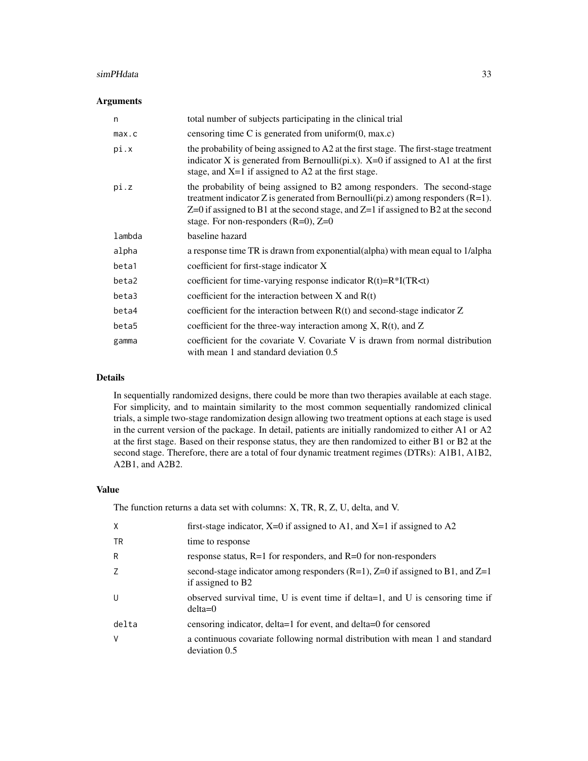#### simPHdata 33

## Arguments

| n      | total number of subjects participating in the clinical trial                                                                                                                                                                                                                                            |
|--------|---------------------------------------------------------------------------------------------------------------------------------------------------------------------------------------------------------------------------------------------------------------------------------------------------------|
| max.c  | censoring time C is generated from uniform $(0, \text{max.c})$                                                                                                                                                                                                                                          |
| pi.x   | the probability of being assigned to $A2$ at the first stage. The first-stage treatment<br>indicator X is generated from Bernoulli(pi.x). $X=0$ if assigned to A1 at the first<br>stage, and $X=1$ if assigned to A2 at the first stage.                                                                |
| pi.z   | the probability of being assigned to B2 among responders. The second-stage<br>treatment indicator Z is generated from Bernoulli(pi.z) among responders $(R=1)$ .<br>$Z=0$ if assigned to B1 at the second stage, and $Z=1$ if assigned to B2 at the second<br>stage. For non-responders $(R=0)$ , $Z=0$ |
| lambda | baseline hazard                                                                                                                                                                                                                                                                                         |
| alpha  | a response time TR is drawn from exponential(alpha) with mean equal to 1/alpha                                                                                                                                                                                                                          |
| beta1  | coefficient for first-stage indicator X                                                                                                                                                                                                                                                                 |
| beta2  | coefficient for time-varying response indicator $R(t)=R^*I(TR\lt t)$                                                                                                                                                                                                                                    |
| beta3  | coefficient for the interaction between $X$ and $R(t)$                                                                                                                                                                                                                                                  |
| beta4  | coefficient for the interaction between $R(t)$ and second-stage indicator Z                                                                                                                                                                                                                             |
| beta5  | coefficient for the three-way interaction among $X$ , $R(t)$ , and $Z$                                                                                                                                                                                                                                  |
| gamma  | coefficient for the covariate V. Covariate V is drawn from normal distribution<br>with mean 1 and standard deviation 0.5                                                                                                                                                                                |

#### Details

In sequentially randomized designs, there could be more than two therapies available at each stage. For simplicity, and to maintain similarity to the most common sequentially randomized clinical trials, a simple two-stage randomization design allowing two treatment options at each stage is used in the current version of the package. In detail, patients are initially randomized to either A1 or A2 at the first stage. Based on their response status, they are then randomized to either B1 or B2 at the second stage. Therefore, there are a total of four dynamic treatment regimes (DTRs): A1B1, A1B2, A2B1, and A2B2.

#### Value

The function returns a data set with columns: X, TR, R, Z, U, delta, and V.

| $\mathsf{X}$ | first-stage indicator, $X=0$ if assigned to A1, and $X=1$ if assigned to A2                               |
|--------------|-----------------------------------------------------------------------------------------------------------|
| <b>TR</b>    | time to response                                                                                          |
| R            | response status, $R=1$ for responders, and $R=0$ for non-responders                                       |
| Z            | second-stage indicator among responders $(R=1)$ , $Z=0$ if assigned to B1, and $Z=1$<br>if assigned to B2 |
| U            | observed survival time, U is event time if delta=1, and U is censoring time if<br>$delta=0$               |
| delta        | censoring indicator, delta=1 for event, and delta=0 for censored                                          |
| V            | a continuous covariate following normal distribution with mean 1 and standard<br>deviation 0.5            |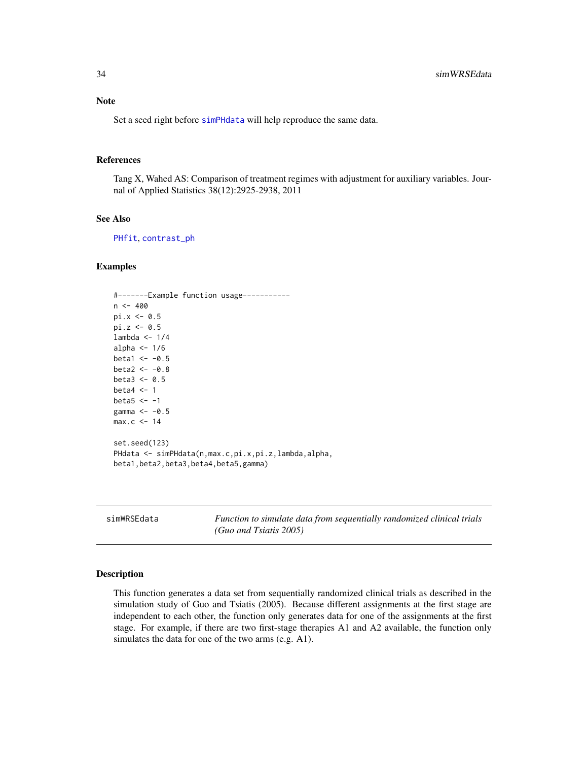<span id="page-33-0"></span>Set a seed right before [simPHdata](#page-31-1) will help reproduce the same data.

#### References

Tang X, Wahed AS: Comparison of treatment regimes with adjustment for auxiliary variables. Journal of Applied Statistics 38(12):2925-2938, 2011

#### See Also

[PHfit](#page-18-1), [contrast\\_ph](#page-11-1)

#### Examples

```
#-------Example function usage-----------
n < -400pi.x < -0.5pi.z < -0.5lambda <-1/4alpha <-1/6beta1 < -0.5beta2 < -0.8beta3 < -0.5beta4 <-1beta5 < -1gamma \leq -0.5max.c < -14set.seed(123)
PHdata <- simPHdata(n,max.c,pi.x,pi.z,lambda,alpha,
beta1,beta2,beta3,beta4,beta5,gamma)
```
<span id="page-33-1"></span>simWRSEdata *Function to simulate data from sequentially randomized clinical trials (Guo and Tsiatis 2005)*

## Description

This function generates a data set from sequentially randomized clinical trials as described in the simulation study of Guo and Tsiatis (2005). Because different assignments at the first stage are independent to each other, the function only generates data for one of the assignments at the first stage. For example, if there are two first-stage therapies A1 and A2 available, the function only simulates the data for one of the two arms (e.g. A1).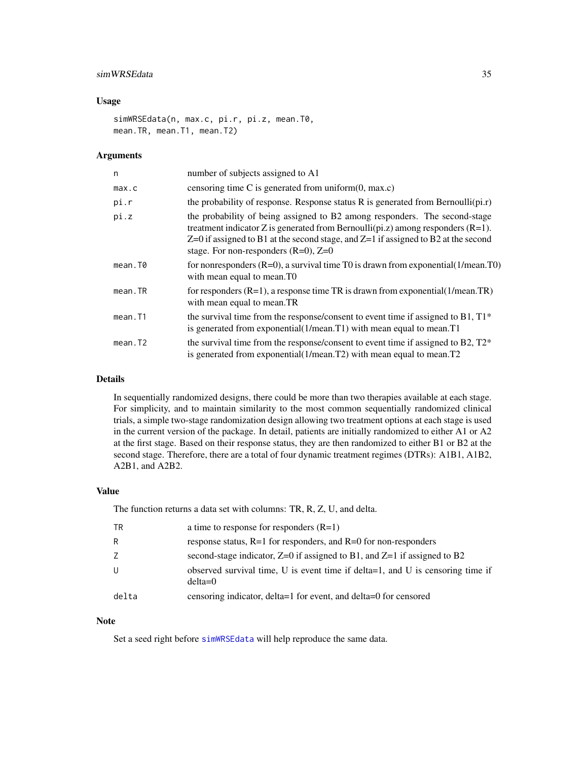## <span id="page-34-0"></span>simWRSEdata 35

#### Usage

simWRSEdata(n, max.c, pi.r, pi.z, mean.T0, mean.TR, mean.T1, mean.T2)

## Arguments

| n           | number of subjects assigned to A1                                                                                                                                                                                                                                                                            |
|-------------|--------------------------------------------------------------------------------------------------------------------------------------------------------------------------------------------------------------------------------------------------------------------------------------------------------------|
| max.c       | censoring time $C$ is generated from uniform $(0, \text{max.c})$                                                                                                                                                                                                                                             |
| pi.r        | the probability of response. Response status R is generated from Bernoulli( $\pi(r)$ )                                                                                                                                                                                                                       |
| pi.z        | the probability of being assigned to B2 among responders. The second-stage<br>treatment indicator Z is generated from Bernoulli( $pi.z$ ) among responders ( $R=1$ ).<br>$Z=0$ if assigned to B1 at the second stage, and $Z=1$ if assigned to B2 at the second<br>stage. For non-responders $(R=0)$ , $Z=0$ |
| mean.T0     | for nonresponders $(R=0)$ , a survival time T0 is drawn from exponential $(1/mean.T0)$<br>with mean equal to mean.TO                                                                                                                                                                                         |
| $mean$ . TR | for responders $(R=1)$ , a response time TR is drawn from exponential (1/mean.TR)<br>with mean equal to mean.TR                                                                                                                                                                                              |
| mean.T1     | the survival time from the response/consent to event time if assigned to B1, T1*<br>is generated from exponential (1/mean. T1) with mean equal to mean. T1                                                                                                                                                   |
| mean.T2     | the survival time from the response/consent to event time if assigned to B2, $T2^*$<br>is generated from exponential (1/mean. T2) with mean equal to mean. T2                                                                                                                                                |

## Details

In sequentially randomized designs, there could be more than two therapies available at each stage. For simplicity, and to maintain similarity to the most common sequentially randomized clinical trials, a simple two-stage randomization design allowing two treatment options at each stage is used in the current version of the package. In detail, patients are initially randomized to either A1 or A2 at the first stage. Based on their response status, they are then randomized to either B1 or B2 at the second stage. Therefore, there are a total of four dynamic treatment regimes (DTRs): A1B1, A1B2, A2B1, and A2B2.

## Value

The function returns a data set with columns: TR, R, Z, U, and delta.

| <b>TR</b> | a time to response for responders $(R=1)$                                                   |
|-----------|---------------------------------------------------------------------------------------------|
| R         | response status, $R=1$ for responders, and $R=0$ for non-responders                         |
| Z         | second-stage indicator, $Z=0$ if assigned to B1, and $Z=1$ if assigned to B2                |
| U         | observed survival time, U is event time if delta=1, and U is censoring time if<br>$delta=0$ |
| delta     | censoring indicator, delta=1 for event, and delta=0 for censored                            |

#### Note

Set a seed right before [simWRSEdata](#page-33-1) will help reproduce the same data.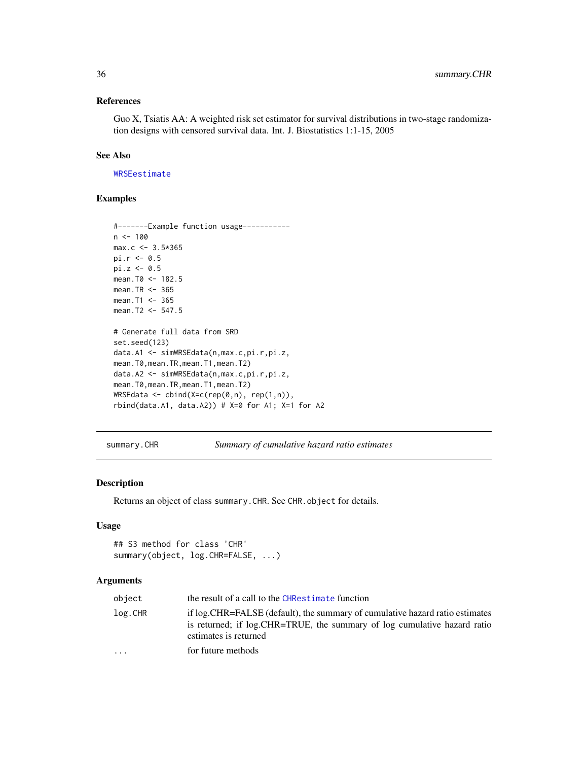## References

Guo X, Tsiatis AA: A weighted risk set estimator for survival distributions in two-stage randomization designs with censored survival data. Int. J. Biostatistics 1:1-15, 2005

## See Also

[WRSEestimate](#page-37-1)

## Examples

```
#-------Example function usage-----------
n < - 100max.c < -3.5*365pi.r <- 0.5
pi.z < -0.5mean.T0 <- 182.5
mean.TR <-365mean.T1 <- 365
mean.T2 <- 547.5
# Generate full data from SRD
set.seed(123)
data.A1 <- simWRSEdata(n,max.c,pi.r,pi.z,
mean.T0,mean.TR,mean.T1,mean.T2)
data.A2 <- simWRSEdata(n,max.c,pi.r,pi.z,
mean.T0,mean.TR,mean.T1,mean.T2)
WRSEdata \leq - \text{cbind}(X=c(\text{rep}(0,n), \text{rep}(1,n)),rbind(data.A1, data.A2)) # X=0 for A1; X=1 for A2
```
<span id="page-35-1"></span>summary.CHR *Summary of cumulative hazard ratio estimates*

## Description

Returns an object of class summary.CHR. See CHR.object for details.

## Usage

```
## S3 method for class 'CHR'
summary(object, log.CHR=FALSE, ...)
```
### Arguments

| object  | the result of a call to the CHRestimate function                                                                                                                                   |
|---------|------------------------------------------------------------------------------------------------------------------------------------------------------------------------------------|
| log.CHR | if log. CHR=FALSE (default), the summary of cumulative hazard ratio estimates<br>is returned; if log.CHR=TRUE, the summary of log cumulative hazard ratio<br>estimates is returned |
| $\cdot$ | for future methods                                                                                                                                                                 |

<span id="page-35-0"></span>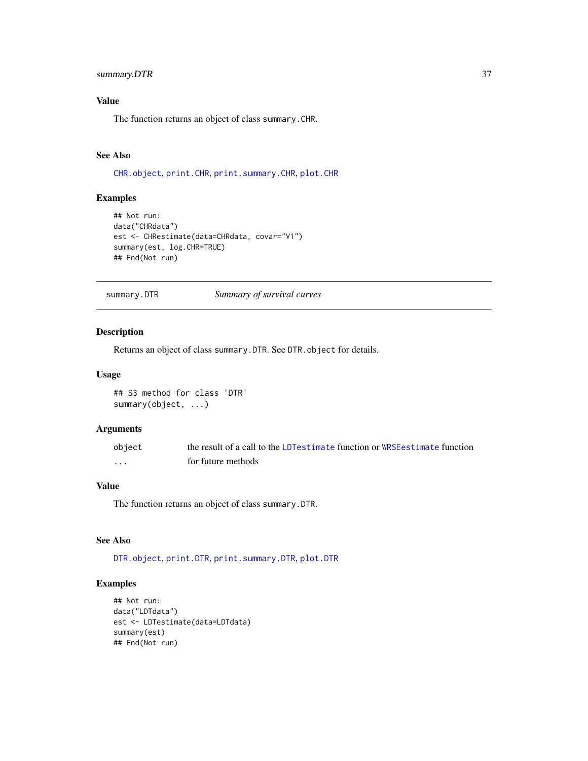## <span id="page-36-0"></span>summary.DTR 37

# Value

The function returns an object of class summary.CHR.

## See Also

[CHR.object](#page-3-1), [print.CHR](#page-22-1), [print.summary.CHR](#page-23-1), [plot.CHR](#page-20-1)

#### Examples

```
## Not run:
data("CHRdata")
est <- CHRestimate(data=CHRdata, covar="V1")
summary(est, log.CHR=TRUE)
## End(Not run)
```
<span id="page-36-1"></span>summary.DTR *Summary of survival curves*

## Description

Returns an object of class summary.DTR. See DTR.object for details.

#### Usage

## S3 method for class 'DTR' summary(object, ...)

## Arguments

| object            | the result of a call to the LDT estimate function or WRSE estimate function |
|-------------------|-----------------------------------------------------------------------------|
| $\cdot\cdot\cdot$ | for future methods                                                          |

# Value

The function returns an object of class summary.DTR.

## See Also

[DTR.object](#page-14-1), [print.DTR](#page-22-2), [print.summary.DTR](#page-24-2), [plot.DTR](#page-21-1)

#### Examples

```
## Not run:
data("LDTdata")
est <- LDTestimate(data=LDTdata)
summary(est)
## End(Not run)
```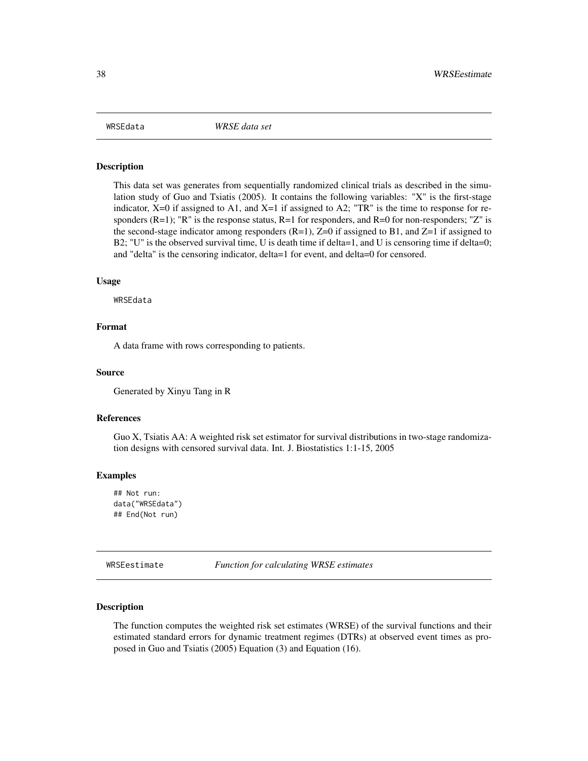<span id="page-37-0"></span>

#### Description

This data set was generates from sequentially randomized clinical trials as described in the simulation study of Guo and Tsiatis (2005). It contains the following variables: "X" is the first-stage indicator,  $X=0$  if assigned to A1, and  $X=1$  if assigned to A2; "TR" is the time to response for responders (R=1); "R" is the response status, R=1 for responders, and R=0 for non-responders; "Z" is the second-stage indicator among responders  $(R=1)$ ,  $Z=0$  if assigned to B1, and  $Z=1$  if assigned to B2; "U" is the observed survival time, U is death time if delta=1, and U is censoring time if delta=0; and "delta" is the censoring indicator, delta=1 for event, and delta=0 for censored.

#### Usage

WRSEdata

#### Format

A data frame with rows corresponding to patients.

#### Source

Generated by Xinyu Tang in R

#### References

Guo X, Tsiatis AA: A weighted risk set estimator for survival distributions in two-stage randomization designs with censored survival data. Int. J. Biostatistics 1:1-15, 2005

#### Examples

```
## Not run:
data("WRSEdata")
## End(Not run)
```
<span id="page-37-1"></span>WRSEestimate *Function for calculating WRSE estimates*

#### Description

The function computes the weighted risk set estimates (WRSE) of the survival functions and their estimated standard errors for dynamic treatment regimes (DTRs) at observed event times as proposed in Guo and Tsiatis (2005) Equation (3) and Equation (16).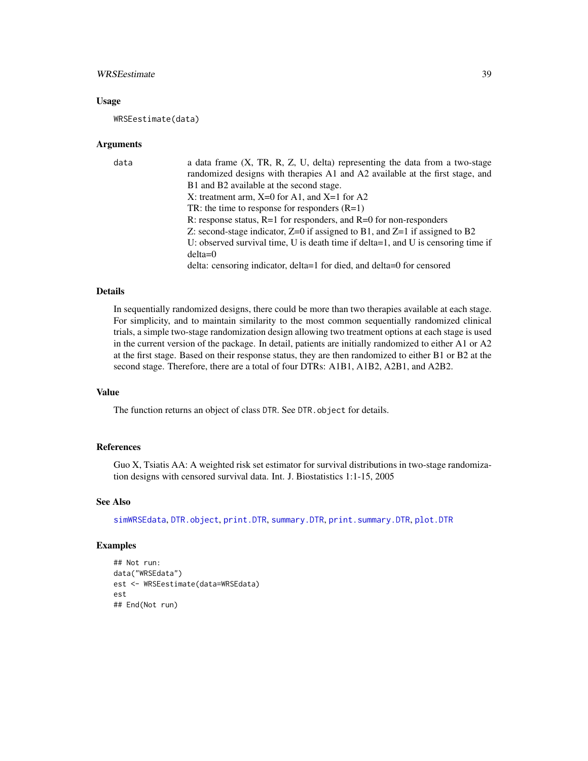## <span id="page-38-0"></span>WRSEestimate 39

#### Usage

WRSEestimate(data)

#### Arguments

| data | a data frame $(X, TR, R, Z, U, delta)$ representing the data from a two-stage     |
|------|-----------------------------------------------------------------------------------|
|      | randomized designs with therapies A1 and A2 available at the first stage, and     |
|      | B1 and B2 available at the second stage.                                          |
|      | X: treatment arm, $X=0$ for A1, and $X=1$ for A2                                  |
|      | TR: the time to response for responders $(R=1)$                                   |
|      | R: response status, $R=1$ for responders, and $R=0$ for non-responders            |
|      | Z: second-stage indicator, $Z=0$ if assigned to B1, and $Z=1$ if assigned to B2   |
|      | U: observed survival time, U is death time if delta=1, and U is censoring time if |
|      | $delta=0$                                                                         |
|      | delta: censoring indicator, delta=1 for died, and delta=0 for censored            |

## Details

In sequentially randomized designs, there could be more than two therapies available at each stage. For simplicity, and to maintain similarity to the most common sequentially randomized clinical trials, a simple two-stage randomization design allowing two treatment options at each stage is used in the current version of the package. In detail, patients are initially randomized to either A1 or A2 at the first stage. Based on their response status, they are then randomized to either B1 or B2 at the second stage. Therefore, there are a total of four DTRs: A1B1, A1B2, A2B1, and A2B2.

# Value

The function returns an object of class DTR. See DTR. object for details.

## References

Guo X, Tsiatis AA: A weighted risk set estimator for survival distributions in two-stage randomization designs with censored survival data. Int. J. Biostatistics 1:1-15, 2005

#### See Also

[simWRSEdata](#page-33-1), [DTR.object](#page-14-1), [print.DTR](#page-22-2), [summary.DTR](#page-36-1), [print.summary.DTR](#page-24-2), [plot.DTR](#page-21-1)

#### Examples

```
## Not run:
data("WRSEdata")
est <- WRSEestimate(data=WRSEdata)
est
## End(Not run)
```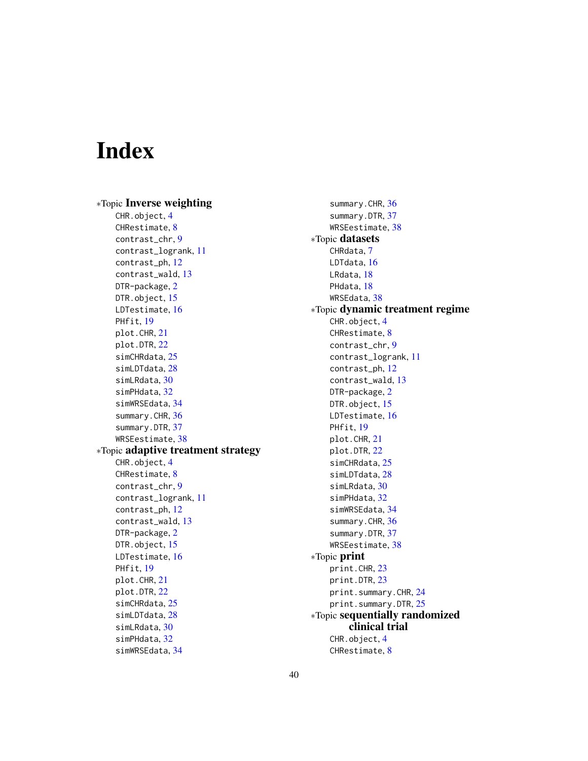# <span id="page-39-0"></span>Index

∗Topic Inverse weighting CHR.object, [4](#page-3-0) CHRestimate, [8](#page-7-0) contrast\_chr, [9](#page-8-0) contrast\_logrank, [11](#page-10-0) contrast\_ph, [12](#page-11-0) contrast\_wald, [13](#page-12-0) DTR-package, [2](#page-1-0) DTR.object, [15](#page-14-0) LDTestimate, [16](#page-15-0) PHfit, [19](#page-18-0) plot.CHR, [21](#page-20-0) plot.DTR, [22](#page-21-0) simCHRdata, [25](#page-24-0) simLDTdata, [28](#page-27-0) simLRdata, [30](#page-29-0) simPHdata, [32](#page-31-0) simWRSEdata, [34](#page-33-0) summary.CHR, [36](#page-35-0) summary.DTR, [37](#page-36-0) WRSEestimate, [38](#page-37-0) ∗Topic adaptive treatment strategy CHR.object, [4](#page-3-0) CHRestimate, [8](#page-7-0) contrast\_chr, [9](#page-8-0) contrast\_logrank, [11](#page-10-0) contrast\_ph, [12](#page-11-0) contrast\_wald, [13](#page-12-0) DTR-package, [2](#page-1-0) DTR.object, [15](#page-14-0) LDTestimate, [16](#page-15-0) PHfit, [19](#page-18-0) plot.CHR, [21](#page-20-0) plot.DTR, [22](#page-21-0) simCHRdata, [25](#page-24-0) simLDTdata, [28](#page-27-0) simLRdata, [30](#page-29-0) simPHdata, [32](#page-31-0) simWRSEdata, [34](#page-33-0)

summary.CHR, [36](#page-35-0) summary.DTR, [37](#page-36-0) WRSEestimate, [38](#page-37-0) ∗Topic datasets CHRdata, [7](#page-6-0) LDTdata, [16](#page-15-0) LRdata, [18](#page-17-0) PHdata, [18](#page-17-0) WRSEdata, [38](#page-37-0) ∗Topic dynamic treatment regime CHR.object, [4](#page-3-0) CHRestimate, [8](#page-7-0) contrast\_chr, [9](#page-8-0) contrast\_logrank, [11](#page-10-0) contrast\_ph, [12](#page-11-0) contrast\_wald, [13](#page-12-0) DTR-package, [2](#page-1-0) DTR.object, [15](#page-14-0) LDTestimate, [16](#page-15-0) PHfit, [19](#page-18-0) plot.CHR, [21](#page-20-0) plot.DTR, [22](#page-21-0) simCHRdata, [25](#page-24-0) simLDTdata, [28](#page-27-0) simLRdata, [30](#page-29-0) simPHdata, [32](#page-31-0) simWRSEdata, [34](#page-33-0) summary.CHR, [36](#page-35-0) summary.DTR, [37](#page-36-0) WRSEestimate, [38](#page-37-0) ∗Topic print print.CHR, [23](#page-22-0) print.DTR, [23](#page-22-0) print.summary.CHR, [24](#page-23-0) print.summary.DTR, [25](#page-24-0) ∗Topic sequentially randomized clinical trial CHR.object, [4](#page-3-0) CHRestimate, [8](#page-7-0)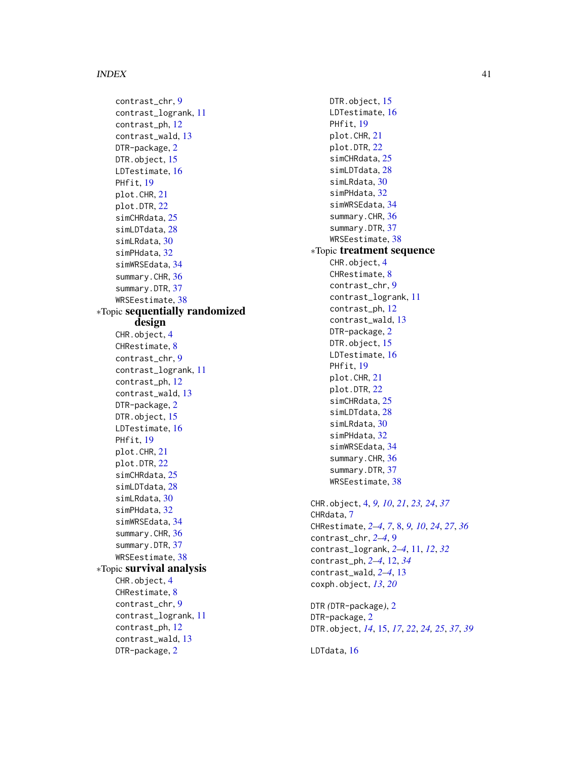#### INDEX  $41$

contrast\_chr, [9](#page-8-0) contrast\_logrank, [11](#page-10-0) contrast\_ph, [12](#page-11-0) contrast\_wald, [13](#page-12-0) DTR-package, [2](#page-1-0) DTR.object, [15](#page-14-0) LDTestimate, [16](#page-15-0) PHfit, [19](#page-18-0) plot.CHR, [21](#page-20-0) plot.DTR, [22](#page-21-0) simCHRdata, [25](#page-24-0) simLDTdata, [28](#page-27-0) simLRdata, [30](#page-29-0) simPHdata, [32](#page-31-0) simWRSEdata, [34](#page-33-0) summary.CHR, [36](#page-35-0) summary.DTR, [37](#page-36-0) WRSEestimate, [38](#page-37-0) ∗Topic sequentially randomized design CHR.object. [4](#page-3-0) CHRestimate, [8](#page-7-0) contrast\_chr, [9](#page-8-0) contrast\_logrank, [11](#page-10-0) contrast\_ph, [12](#page-11-0) contrast\_wald, [13](#page-12-0) DTR-package, [2](#page-1-0) DTR.object, [15](#page-14-0) LDTestimate, [16](#page-15-0) PHfit, [19](#page-18-0) plot.CHR, [21](#page-20-0) plot.DTR, [22](#page-21-0) simCHRdata, [25](#page-24-0) simLDTdata, [28](#page-27-0) simLRdata, [30](#page-29-0) simPHdata, [32](#page-31-0) simWRSEdata, [34](#page-33-0) summary.CHR, [36](#page-35-0) summary.DTR, [37](#page-36-0) WRSEestimate, [38](#page-37-0) ∗Topic survival analysis CHR.object, [4](#page-3-0) CHRestimate, [8](#page-7-0) contrast\_chr, [9](#page-8-0) contrast\_logrank, [11](#page-10-0) contrast\_ph, [12](#page-11-0) contrast\_wald, [13](#page-12-0) DTR-package, [2](#page-1-0)

DTR.object, [15](#page-14-0) LDTestimate, [16](#page-15-0) PHfit, [19](#page-18-0) plot.CHR, [21](#page-20-0) plot.DTR, [22](#page-21-0) simCHRdata, [25](#page-24-0) simLDTdata, [28](#page-27-0) simLRdata, [30](#page-29-0) simPHdata, [32](#page-31-0) simWRSEdata, [34](#page-33-0) summary.CHR, [36](#page-35-0) summary.DTR, [37](#page-36-0) WRSEestimate, [38](#page-37-0) ∗Topic treatment sequence CHR.object, [4](#page-3-0) CHRestimate, [8](#page-7-0) contrast\_chr, [9](#page-8-0) contrast\_logrank, [11](#page-10-0) contrast\_ph, [12](#page-11-0) contrast\_wald, [13](#page-12-0) DTR-package, [2](#page-1-0) DTR.object, [15](#page-14-0) LDTestimate, [16](#page-15-0) PHfit, [19](#page-18-0) plot.CHR, [21](#page-20-0) plot.DTR, [22](#page-21-0) simCHRdata, [25](#page-24-0) simLDTdata, [28](#page-27-0) simLRdata, [30](#page-29-0) simPHdata, [32](#page-31-0) simWRSEdata, [34](#page-33-0) summary.CHR, [36](#page-35-0) summary.DTR, [37](#page-36-0) WRSEestimate, [38](#page-37-0) CHR.object, [4,](#page-3-0) *[9,](#page-8-0) [10](#page-9-0)*, *[21](#page-20-0)*, *[23,](#page-22-0) [24](#page-23-0)*, *[37](#page-36-0)* CHRdata, [7](#page-6-0) CHRestimate, *[2](#page-1-0)[–4](#page-3-0)*, *[7](#page-6-0)*, [8,](#page-7-0) *[9,](#page-8-0) [10](#page-9-0)*, *[24](#page-23-0)*, *[27](#page-26-0)*, *[36](#page-35-0)* contrast\_chr, *[2](#page-1-0)[–4](#page-3-0)*, [9](#page-8-0) contrast\_logrank, *[2](#page-1-0)[–4](#page-3-0)*, [11,](#page-10-0) *[12](#page-11-0)*, *[32](#page-31-0)* contrast\_ph, *[2](#page-1-0)[–4](#page-3-0)*, [12,](#page-11-0) *[34](#page-33-0)* contrast\_wald, *[2](#page-1-0)[–4](#page-3-0)*, [13](#page-12-0) coxph.object, *[13](#page-12-0)*, *[20](#page-19-0)* DTR *(*DTR-package*)*, [2](#page-1-0)

DTR-package, [2](#page-1-0) DTR.object, *[14](#page-13-0)*, [15,](#page-14-0) *[17](#page-16-0)*, *[22](#page-21-0)*, *[24,](#page-23-0) [25](#page-24-0)*, *[37](#page-36-0)*, *[39](#page-38-0)*

LDTdata, [16](#page-15-0)